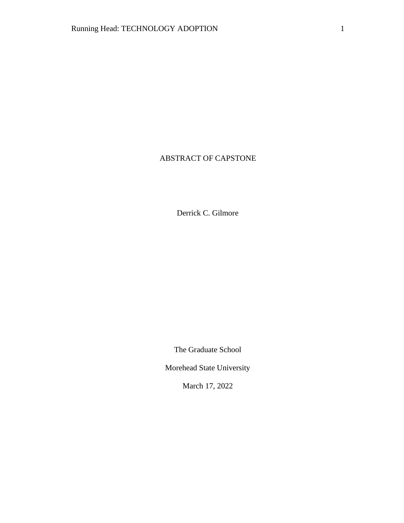# ABSTRACT OF CAPSTONE

Derrick C. Gilmore

The Graduate School

Morehead State University

March 17, 2022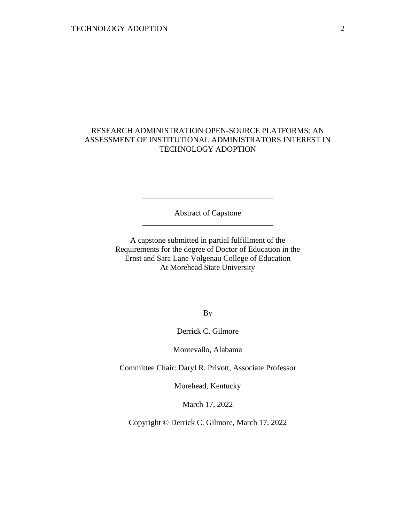## RESEARCH ADMINISTRATION OPEN-SOURCE PLATFORMS: AN ASSESSMENT OF INSTITUTIONAL ADMINISTRATORS INTEREST IN TECHNOLOGY ADOPTION

Abstract of Capstone \_\_\_\_\_\_\_\_\_\_\_\_\_\_\_\_\_\_\_\_\_\_\_\_\_\_\_\_\_\_\_\_\_

\_\_\_\_\_\_\_\_\_\_\_\_\_\_\_\_\_\_\_\_\_\_\_\_\_\_\_\_\_\_\_\_\_

A capstone submitted in partial fulfillment of the Requirements for the degree of Doctor of Education in the Ernst and Sara Lane Volgenau College of Education At Morehead State University

By

Derrick C. Gilmore

Montevallo, Alabama

Committee Chair: Daryl R. Privott, Associate Professor

Morehead, Kentucky

March 17, 2022

Copyright © Derrick C. Gilmore, March 17, 2022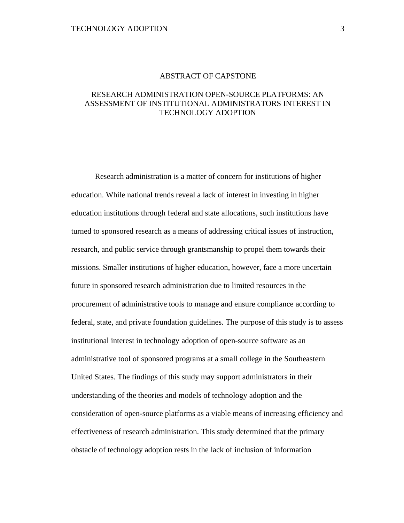#### ABSTRACT OF CAPSTONE

## RESEARCH ADMINISTRATION OPEN-SOURCE PLATFORMS: AN ASSESSMENT OF INSTITUTIONAL ADMINISTRATORS INTEREST IN TECHNOLOGY ADOPTION

Research administration is a matter of concern for institutions of higher education. While national trends reveal a lack of interest in investing in higher education institutions through federal and state allocations, such institutions have turned to sponsored research as a means of addressing critical issues of instruction, research, and public service through grantsmanship to propel them towards their missions. Smaller institutions of higher education, however, face a more uncertain future in sponsored research administration due to limited resources in the procurement of administrative tools to manage and ensure compliance according to federal, state, and private foundation guidelines. The purpose of this study is to assess institutional interest in technology adoption of open-source software as an administrative tool of sponsored programs at a small college in the Southeastern United States. The findings of this study may support administrators in their understanding of the theories and models of technology adoption and the consideration of open-source platforms as a viable means of increasing efficiency and effectiveness of research administration. This study determined that the primary obstacle of technology adoption rests in the lack of inclusion of information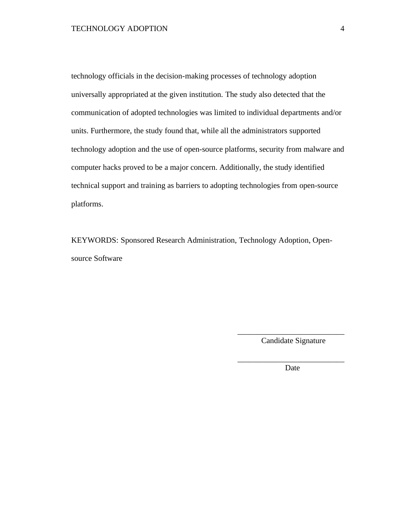technology officials in the decision-making processes of technology adoption universally appropriated at the given institution. The study also detected that the communication of adopted technologies was limited to individual departments and/or units. Furthermore, the study found that, while all the administrators supported technology adoption and the use of open-source platforms, security from malware and computer hacks proved to be a major concern. Additionally, the study identified technical support and training as barriers to adopting technologies from open-source platforms.

KEYWORDS: Sponsored Research Administration, Technology Adoption, Opensource Software

> \_\_\_\_\_\_\_\_\_\_\_\_\_\_\_\_\_\_\_\_\_\_\_\_\_\_\_ Candidate Signature

> \_\_\_\_\_\_\_\_\_\_\_\_\_\_\_\_\_\_\_\_\_\_\_\_\_\_\_ Date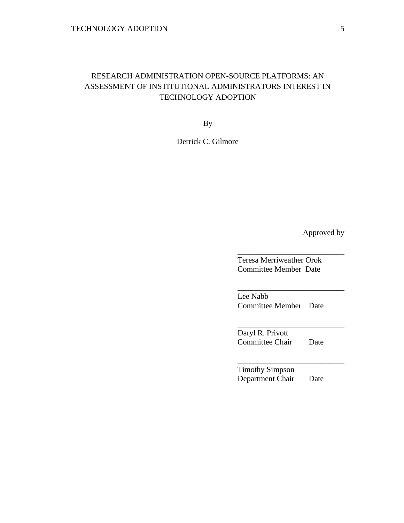# RESEARCH ADMINISTRATION OPEN-SOURCE PLATFORMS: AN ASSESSMENT OF INSTITUTIONAL ADMINISTRATORS INTEREST IN TECHNOLOGY ADOPTION

By

Derrick C. Gilmore

Approved by

Teresa Merriweather Orok Committee Member Date

\_\_\_\_\_\_\_\_\_\_\_\_\_\_\_\_\_\_\_\_\_\_\_\_\_\_\_

\_\_\_\_\_\_\_\_\_\_\_\_\_\_\_\_\_\_\_\_\_\_\_\_\_\_\_

\_\_\_\_\_\_\_\_\_\_\_\_\_\_\_\_\_\_\_\_\_\_\_\_\_\_\_

\_\_\_\_\_\_\_\_\_\_\_\_\_\_\_\_\_\_\_\_\_\_\_\_\_\_\_

Lee Nabb Committee Member Date

Daryl R. Privott Committee Chair Date

Timothy Simpson Department Chair Date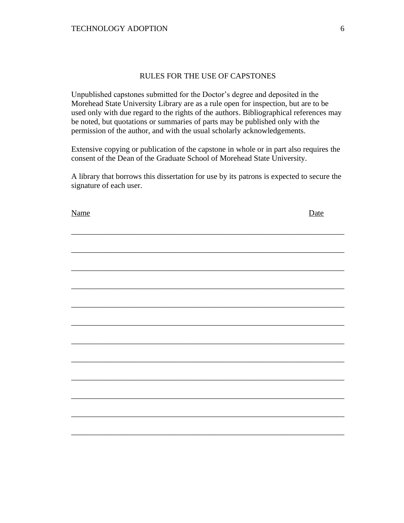## RULES FOR THE USE OF CAPSTONES

Unpublished capstones submitted for the Doctor's degree and deposited in the Morehead State University Library are as a rule open for inspection, but are to be used only with due regard to the rights of the authors. Bibliographical references may be noted, but quotations or summaries of parts may be published only with the permission of the author, and with the usual scholarly acknowledgements.

Extensive copying or publication of the capstone in whole or in part also requires the consent of the Dean of the Graduate School of Morehead State University.

A library that borrows this dissertation for use by its patrons is expected to secure the signature of each user.

| <b>Name</b> | Date |
|-------------|------|
|             |      |
|             |      |
|             |      |
|             |      |
|             |      |
|             |      |
|             |      |
|             |      |
|             |      |
|             |      |
|             |      |
|             |      |
|             |      |
|             |      |
|             |      |
|             |      |
|             |      |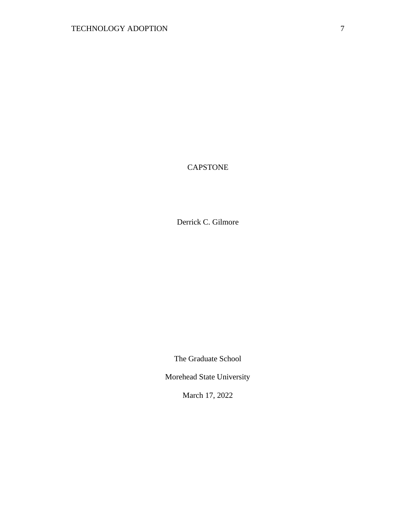# CAPSTONE

Derrick C. Gilmore

The Graduate School

Morehead State University

March 17, 2022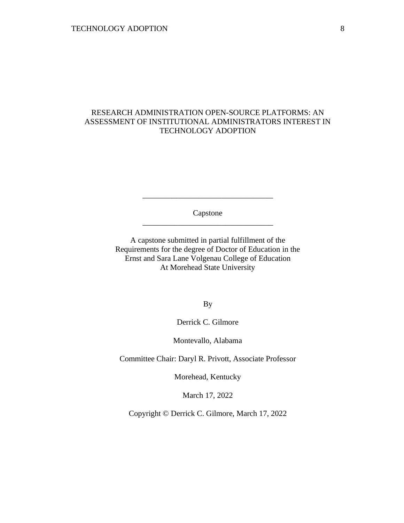## RESEARCH ADMINISTRATION OPEN-SOURCE PLATFORMS: AN ASSESSMENT OF INSTITUTIONAL ADMINISTRATORS INTEREST IN TECHNOLOGY ADOPTION

Capstone \_\_\_\_\_\_\_\_\_\_\_\_\_\_\_\_\_\_\_\_\_\_\_\_\_\_\_\_\_\_\_\_\_

\_\_\_\_\_\_\_\_\_\_\_\_\_\_\_\_\_\_\_\_\_\_\_\_\_\_\_\_\_\_\_\_\_

A capstone submitted in partial fulfillment of the Requirements for the degree of Doctor of Education in the Ernst and Sara Lane Volgenau College of Education At Morehead State University

By

Derrick C. Gilmore

Montevallo, Alabama

Committee Chair: Daryl R. Privott, Associate Professor

Morehead, Kentucky

March 17, 2022

Copyright © Derrick C. Gilmore, March 17, 2022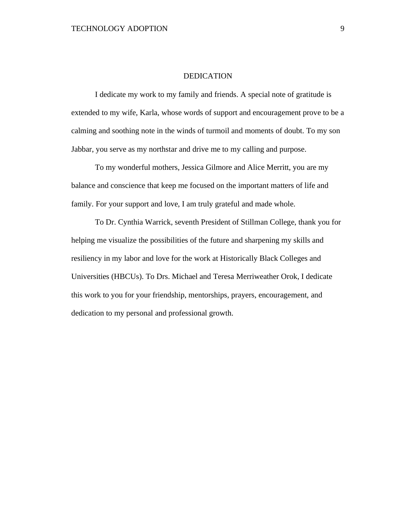### DEDICATION

I dedicate my work to my family and friends. A special note of gratitude is extended to my wife, Karla, whose words of support and encouragement prove to be a calming and soothing note in the winds of turmoil and moments of doubt. To my son Jabbar, you serve as my northstar and drive me to my calling and purpose.

To my wonderful mothers, Jessica Gilmore and Alice Merritt, you are my balance and conscience that keep me focused on the important matters of life and family. For your support and love, I am truly grateful and made whole.

To Dr. Cynthia Warrick, seventh President of Stillman College, thank you for helping me visualize the possibilities of the future and sharpening my skills and resiliency in my labor and love for the work at Historically Black Colleges and Universities (HBCUs). To Drs. Michael and Teresa Merriweather Orok, I dedicate this work to you for your friendship, mentorships, prayers, encouragement, and dedication to my personal and professional growth.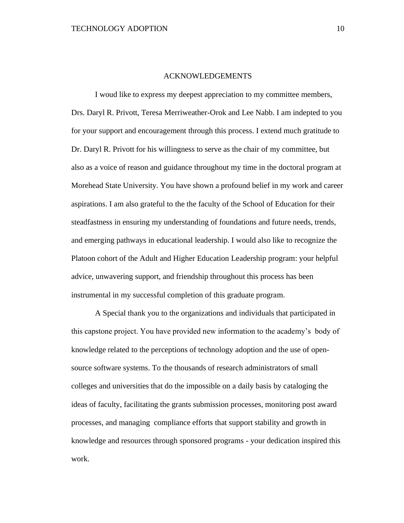#### ACKNOWLEDGEMENTS

I woud like to express my deepest appreciation to my committee members, Drs. Daryl R. Privott, Teresa Merriweather-Orok and Lee Nabb. I am indepted to you for your support and encouragement through this process. I extend much gratitude to Dr. Daryl R. Privott for his willingness to serve as the chair of my committee, but also as a voice of reason and guidance throughout my time in the doctoral program at Morehead State University. You have shown a profound belief in my work and career aspirations. I am also grateful to the the faculty of the School of Education for their steadfastness in ensuring my understanding of foundations and future needs, trends, and emerging pathways in educational leadership. I would also like to recognize the Platoon cohort of the Adult and Higher Education Leadership program: your helpful advice, unwavering support, and friendship throughout this process has been instrumental in my successful completion of this graduate program.

A Special thank you to the organizations and individuals that participated in this capstone project. You have provided new information to the academy's body of knowledge related to the perceptions of technology adoption and the use of opensource software systems. To the thousands of research administrators of small colleges and universities that do the impossible on a daily basis by cataloging the ideas of faculty, facilitating the grants submission processes, monitoring post award processes, and managing compliance efforts that support stability and growth in knowledge and resources through sponsored programs - your dedication inspired this work.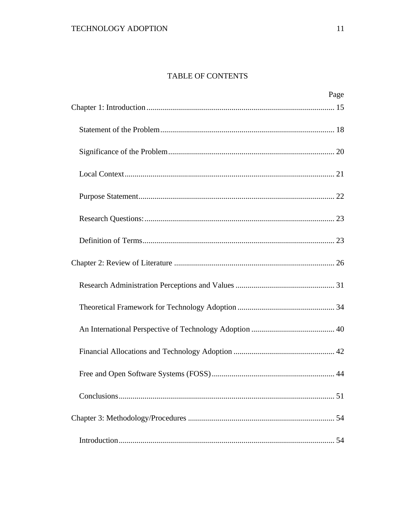# TABLE OF CONTENTS

| Page |
|------|
|      |
|      |
|      |
|      |
|      |
|      |
|      |
|      |
|      |
|      |
|      |
|      |
|      |
|      |
|      |
|      |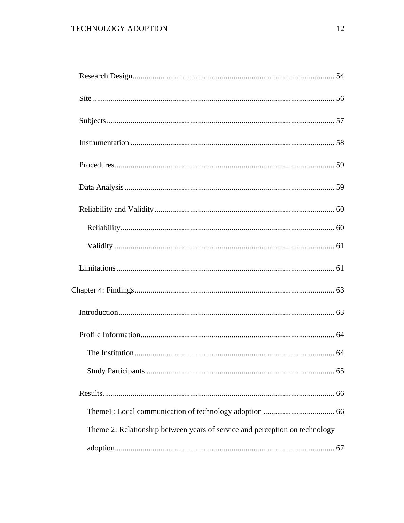| Theme 2: Relationship between years of service and perception on technology |  |
|-----------------------------------------------------------------------------|--|
|                                                                             |  |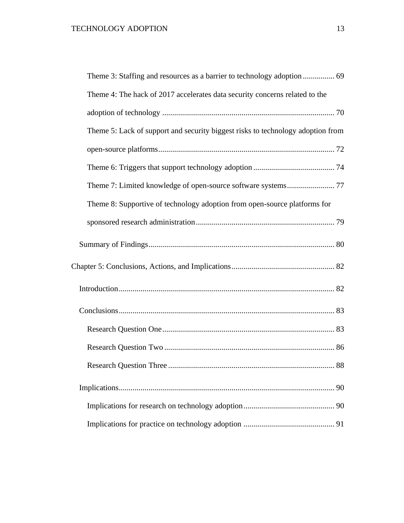| Theme 3: Staffing and resources as a barrier to technology adoption  69         |
|---------------------------------------------------------------------------------|
| Theme 4: The hack of 2017 accelerates data security concerns related to the     |
|                                                                                 |
| Theme 5: Lack of support and security biggest risks to technology adoption from |
|                                                                                 |
|                                                                                 |
|                                                                                 |
| Theme 8: Supportive of technology adoption from open-source platforms for       |
|                                                                                 |
|                                                                                 |
|                                                                                 |
|                                                                                 |
|                                                                                 |
|                                                                                 |
|                                                                                 |
|                                                                                 |
| 90                                                                              |
|                                                                                 |
|                                                                                 |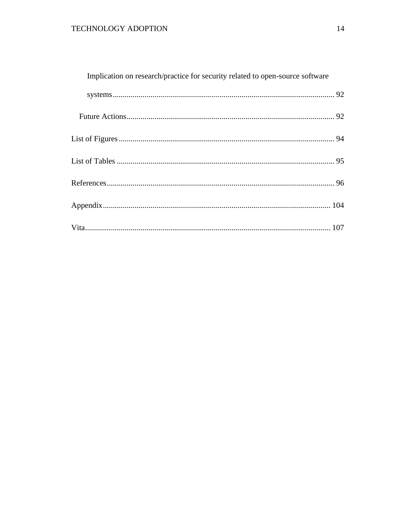| Implication on research/practice for security related to open-source software |  |
|-------------------------------------------------------------------------------|--|
|                                                                               |  |
|                                                                               |  |
|                                                                               |  |
|                                                                               |  |
|                                                                               |  |
|                                                                               |  |
|                                                                               |  |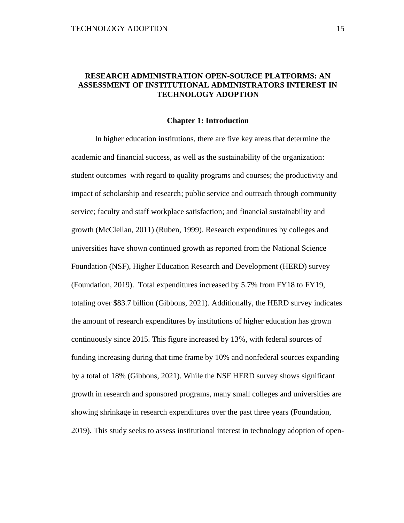## **RESEARCH ADMINISTRATION OPEN-SOURCE PLATFORMS: AN ASSESSMENT OF INSTITUTIONAL ADMINISTRATORS INTEREST IN TECHNOLOGY ADOPTION**

#### **Chapter 1: Introduction**

<span id="page-14-0"></span>In higher education institutions, there are five key areas that determine the academic and financial success, as well as the sustainability of the organization: student outcomes with regard to quality programs and courses; the productivity and impact of scholarship and research; public service and outreach through community service; faculty and staff workplace satisfaction; and financial sustainability and growth (McClellan, 2011) (Ruben, 1999). Research expenditures by colleges and universities have shown continued growth as reported from the National Science Foundation (NSF), Higher Education Research and Development (HERD) survey (Foundation, 2019). Total expenditures increased by 5.7% from FY18 to FY19, totaling over \$83.7 billion (Gibbons, 2021). Additionally, the HERD survey indicates the amount of research expenditures by institutions of higher education has grown continuously since 2015. This figure increased by 13%, with federal sources of funding increasing during that time frame by 10% and nonfederal sources expanding by a total of 18% (Gibbons, 2021). While the NSF HERD survey shows significant growth in research and sponsored programs, many small colleges and universities are showing shrinkage in research expenditures over the past three years (Foundation, 2019). This study seeks to assess institutional interest in technology adoption of open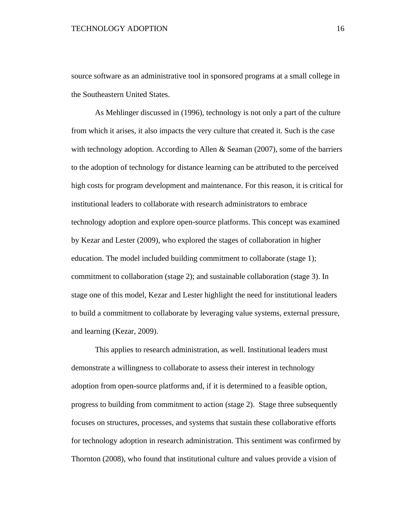source software as an administrative tool in sponsored programs at a small college in the Southeastern United States.

As Mehlinger discussed in (1996), technology is not only a part of the culture from which it arises, it also impacts the very culture that created it. Such is the case with technology adoption. According to Allen & Seaman (2007), some of the barriers to the adoption of technology for distance learning can be attributed to the perceived high costs for program development and maintenance. For this reason, it is critical for institutional leaders to collaborate with research administrators to embrace technology adoption and explore open-source platforms. This concept was examined by Kezar and Lester (2009), who explored the stages of collaboration in higher education. The model included building commitment to collaborate (stage 1); commitment to collaboration (stage 2); and sustainable collaboration (stage 3). In stage one of this model, Kezar and Lester highlight the need for institutional leaders to build a commitment to collaborate by leveraging value systems, external pressure, and learning (Kezar, 2009).

This applies to research administration, as well. Institutional leaders must demonstrate a willingness to collaborate to assess their interest in technology adoption from open-source platforms and, if it is determined to a feasible option, progress to building from commitment to action (stage 2). Stage three subsequently focuses on structures, processes, and systems that sustain these collaborative efforts for technology adoption in research administration. This sentiment was confirmed by Thornton (2008), who found that institutional culture and values provide a vision of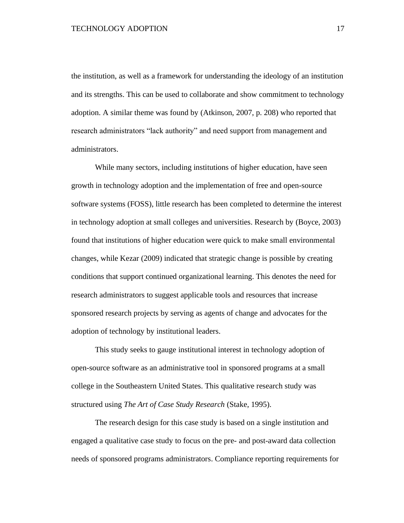the institution, as well as a framework for understanding the ideology of an institution and its strengths. This can be used to collaborate and show commitment to technology adoption. A similar theme was found by (Atkinson, 2007, p. 208) who reported that research administrators "lack authority" and need support from management and administrators.

While many sectors, including institutions of higher education, have seen growth in technology adoption and the implementation of free and open-source software systems (FOSS), little research has been completed to determine the interest in technology adoption at small colleges and universities. Research by (Boyce, 2003) found that institutions of higher education were quick to make small environmental changes, while Kezar (2009) indicated that strategic change is possible by creating conditions that support continued organizational learning. This denotes the need for research administrators to suggest applicable tools and resources that increase sponsored research projects by serving as agents of change and advocates for the adoption of technology by institutional leaders.

This study seeks to gauge institutional interest in technology adoption of open-source software as an administrative tool in sponsored programs at a small college in the Southeastern United States. This qualitative research study was structured using *The Art of Case Study Research* (Stake, 1995).

The research design for this case study is based on a single institution and engaged a qualitative case study to focus on the pre- and post-award data collection needs of sponsored programs administrators. Compliance reporting requirements for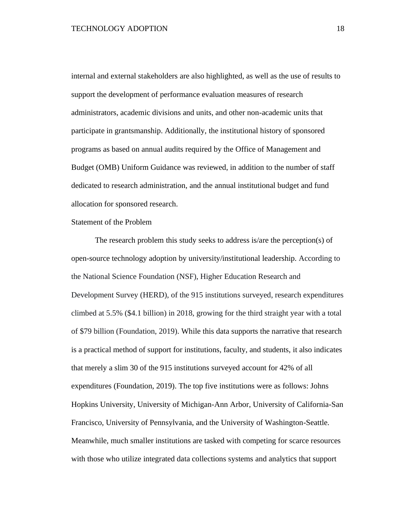internal and external stakeholders are also highlighted, as well as the use of results to support the development of performance evaluation measures of research administrators, academic divisions and units, and other non-academic units that participate in grantsmanship. Additionally, the institutional history of sponsored programs as based on annual audits required by the Office of Management and Budget (OMB) Uniform Guidance was reviewed, in addition to the number of staff dedicated to research administration, and the annual institutional budget and fund allocation for sponsored research.

### <span id="page-17-0"></span>Statement of the Problem

The research problem this study seeks to address is/are the perception(s) of open-source technology adoption by university/institutional leadership. According to the National Science Foundation (NSF), Higher Education Research and Development Survey (HERD), of the 915 institutions surveyed, research expenditures climbed at 5.5% (\$4.1 billion) in 2018, growing for the third straight year with a total of \$79 billion (Foundation, 2019). While this data supports the narrative that research is a practical method of support for institutions, faculty, and students, it also indicates that merely a slim 30 of the 915 institutions surveyed account for 42% of all expenditures (Foundation, 2019). The top five institutions were as follows: Johns Hopkins University, University of Michigan-Ann Arbor, University of California-San Francisco, University of Pennsylvania, and the University of Washington-Seattle. Meanwhile, much smaller institutions are tasked with competing for scarce resources with those who utilize integrated data collections systems and analytics that support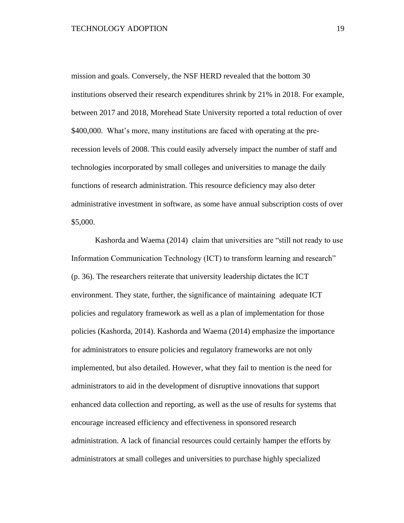mission and goals. Conversely, the NSF HERD revealed that the bottom 30 institutions observed their research expenditures shrink by 21% in 2018. For example, between 2017 and 2018, Morehead State University reported a total reduction of over \$400,000. What's more, many institutions are faced with operating at the prerecession levels of 2008. This could easily adversely impact the number of staff and technologies incorporated by small colleges and universities to manage the daily functions of research administration. This resource deficiency may also deter administrative investment in software, as some have annual subscription costs of over \$5,000.

Kashorda and Waema (2014) claim that universities are "still not ready to use Information Communication Technology (ICT) to transform learning and research" (p. 36). The researchers reiterate that university leadership dictates the ICT environment. They state, further, the significance of maintaining adequate ICT policies and regulatory framework as well as a plan of implementation for those policies (Kashorda, 2014). Kashorda and Waema (2014) emphasize the importance for administrators to ensure policies and regulatory frameworks are not only implemented, but also detailed. However, what they fail to mention is the need for administrators to aid in the development of disruptive innovations that support enhanced data collection and reporting, as well as the use of results for systems that encourage increased efficiency and effectiveness in sponsored research administration. A lack of financial resources could certainly hamper the efforts by administrators at small colleges and universities to purchase highly specialized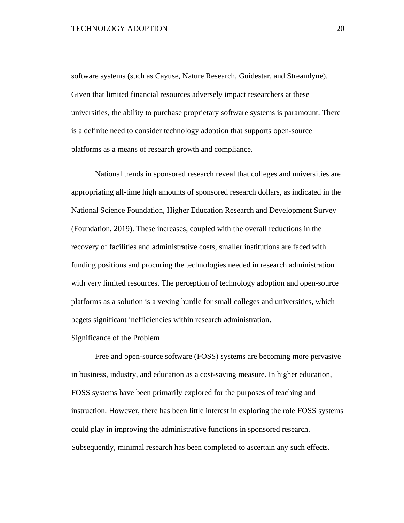software systems (such as Cayuse, Nature Research, Guidestar, and Streamlyne). Given that limited financial resources adversely impact researchers at these universities, the ability to purchase proprietary software systems is paramount. There is a definite need to consider technology adoption that supports open-source platforms as a means of research growth and compliance.

National trends in sponsored research reveal that colleges and universities are appropriating all-time high amounts of sponsored research dollars, as indicated in the National Science Foundation, Higher Education Research and Development Survey (Foundation, 2019). These increases, coupled with the overall reductions in the recovery of facilities and administrative costs, smaller institutions are faced with funding positions and procuring the technologies needed in research administration with very limited resources. The perception of technology adoption and open-source platforms as a solution is a vexing hurdle for small colleges and universities, which begets significant inefficiencies within research administration.

#### <span id="page-19-0"></span>Significance of the Problem

Free and open-source software (FOSS) systems are becoming more pervasive in business, industry, and education as a cost-saving measure. In higher education, FOSS systems have been primarily explored for the purposes of teaching and instruction. However, there has been little interest in exploring the role FOSS systems could play in improving the administrative functions in sponsored research. Subsequently, minimal research has been completed to ascertain any such effects.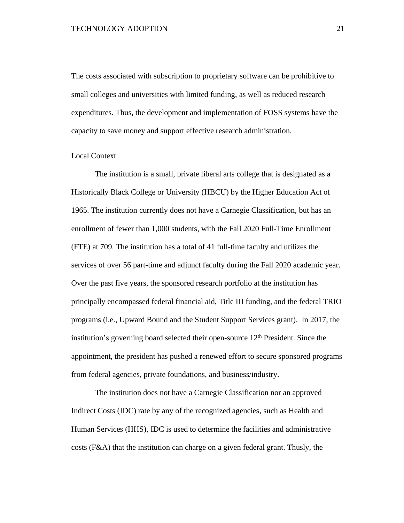The costs associated with subscription to proprietary software can be prohibitive to small colleges and universities with limited funding, as well as reduced research expenditures. Thus, the development and implementation of FOSS systems have the capacity to save money and support effective research administration.

### <span id="page-20-0"></span>Local Context

The institution is a small, private liberal arts college that is designated as a Historically Black College or University (HBCU) by the Higher Education Act of 1965. The institution currently does not have a Carnegie Classification, but has an enrollment of fewer than 1,000 students, with the Fall 2020 Full-Time Enrollment (FTE) at 709. The institution has a total of 41 full-time faculty and utilizes the services of over 56 part-time and adjunct faculty during the Fall 2020 academic year. Over the past five years, the sponsored research portfolio at the institution has principally encompassed federal financial aid, Title III funding, and the federal TRIO programs (i.e., Upward Bound and the Student Support Services grant). In 2017, the institution's governing board selected their open-source  $12<sup>th</sup>$  President. Since the appointment, the president has pushed a renewed effort to secure sponsored programs from federal agencies, private foundations, and business/industry.

The institution does not have a Carnegie Classification nor an approved Indirect Costs (IDC) rate by any of the recognized agencies, such as Health and Human Services (HHS), IDC is used to determine the facilities and administrative costs (F&A) that the institution can charge on a given federal grant. Thusly, the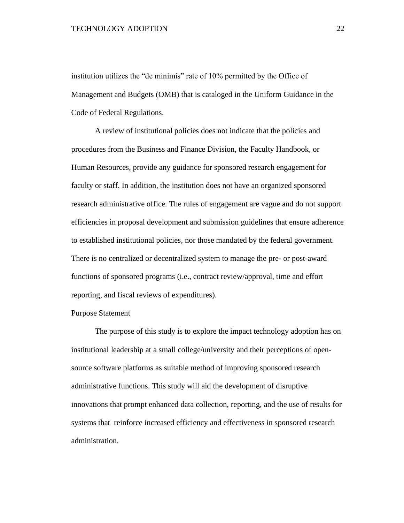institution utilizes the "de minimis" rate of 10% permitted by the Office of Management and Budgets (OMB) that is cataloged in the Uniform Guidance in the Code of Federal Regulations.

A review of institutional policies does not indicate that the policies and procedures from the Business and Finance Division, the Faculty Handbook, or Human Resources, provide any guidance for sponsored research engagement for faculty or staff. In addition, the institution does not have an organized sponsored research administrative office. The rules of engagement are vague and do not support efficiencies in proposal development and submission guidelines that ensure adherence to established institutional policies, nor those mandated by the federal government. There is no centralized or decentralized system to manage the pre- or post-award functions of sponsored programs (i.e., contract review/approval, time and effort reporting, and fiscal reviews of expenditures).

### <span id="page-21-0"></span>Purpose Statement

The purpose of this study is to explore the impact technology adoption has on institutional leadership at a small college/university and their perceptions of opensource software platforms as suitable method of improving sponsored research administrative functions. This study will aid the development of disruptive innovations that prompt enhanced data collection, reporting, and the use of results for systems that reinforce increased efficiency and effectiveness in sponsored research administration.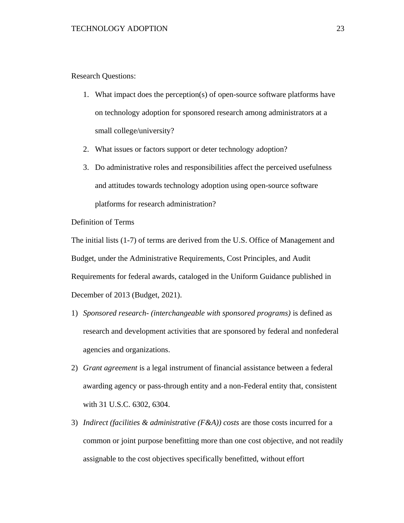<span id="page-22-0"></span>Research Questions:

- 1. What impact does the perception(s) of open-source software platforms have on technology adoption for sponsored research among administrators at a small college/university?
- 2. What issues or factors support or deter technology adoption?
- 3. Do administrative roles and responsibilities affect the perceived usefulness and attitudes towards technology adoption using open-source software platforms for research administration?

<span id="page-22-1"></span>Definition of Terms

The initial lists (1-7) of terms are derived from the U.S. Office of Management and Budget, under the Administrative Requirements, Cost Principles, and Audit Requirements for federal awards, cataloged in the Uniform Guidance published in December of 2013 (Budget, 2021).

- 1) *Sponsored research- (interchangeable with sponsored programs)* is defined as research and development activities that are sponsored by federal and nonfederal agencies and organizations.
- 2) *Grant agreement* is a legal instrument of financial assistance between a federal awarding agency or pass-through entity and a non-Federal entity that, consistent with 31 U.S.C. 6302, 6304.
- 3) *Indirect (facilities & administrative (F&A)) costs* are those costs incurred for a common or joint purpose benefitting more than one cost objective, and not readily assignable to the cost objectives specifically benefitted, without effort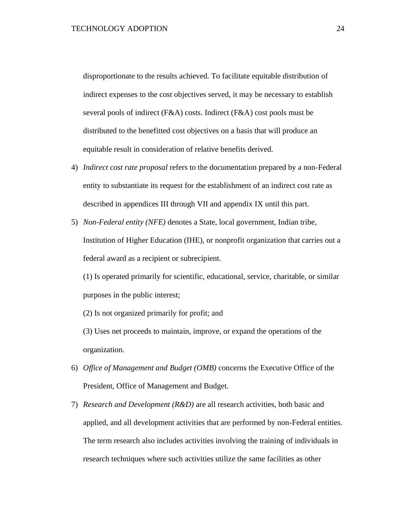disproportionate to the results achieved. To facilitate equitable distribution of indirect expenses to the cost objectives served, it may be necessary to establish several pools of indirect (F&A) costs. Indirect (F&A) cost pools must be distributed to the benefitted cost objectives on a basis that will produce an equitable result in consideration of relative benefits derived.

- 4) *Indirect cost rate proposal* refers to the documentation prepared by a non-Federal entity to substantiate its request for the establishment of an indirect cost rate as described in appendices III through VII and appendix IX until this part.
- 5) *Non-Federal entity (NFE)* denotes a State, local government, Indian tribe, Institution of Higher Education (IHE), or nonprofit organization that carries out a federal award as a recipient or subrecipient.

(1) Is operated primarily for scientific, educational, service, charitable, or similar purposes in the public interest;

(2) Is not organized primarily for profit; and

(3) Uses net proceeds to maintain, improve, or expand the operations of the organization.

- 6) *Office of Management and Budget (OMB)* concerns the Executive Office of the President, Office of Management and Budget.
- 7) *Research and Development (R&D)* are all research activities, both basic and applied, and all development activities that are performed by non-Federal entities. The term research also includes activities involving the training of individuals in research techniques where such activities utilize the same facilities as other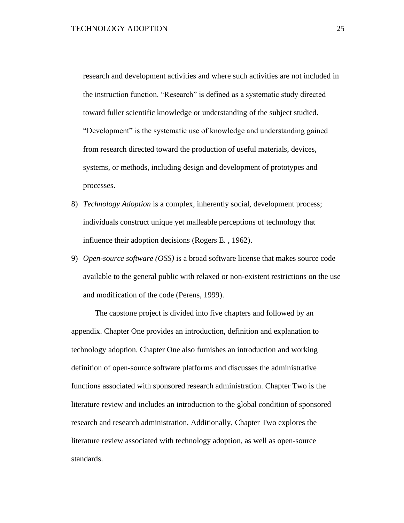research and development activities and where such activities are not included in the instruction function. "Research" is defined as a systematic study directed toward fuller scientific knowledge or understanding of the subject studied. "Development" is the systematic use of knowledge and understanding gained from research directed toward the production of useful materials, devices, systems, or methods, including design and development of prototypes and processes.

- 8) *Technology Adoption* is a complex, inherently social, development process; individuals construct unique yet malleable perceptions of technology that influence their adoption decisions (Rogers E. , 1962).
- 9) *Open-source software (OSS)* is a broad software license that makes source code available to the general public with relaxed or non-existent restrictions on the use and modification of the code (Perens, 1999).

The capstone project is divided into five chapters and followed by an appendix. Chapter One provides an introduction, definition and explanation to technology adoption. Chapter One also furnishes an introduction and working definition of open-source software platforms and discusses the administrative functions associated with sponsored research administration. Chapter Two is the literature review and includes an introduction to the global condition of sponsored research and research administration. Additionally, Chapter Two explores the literature review associated with technology adoption, as well as open-source standards.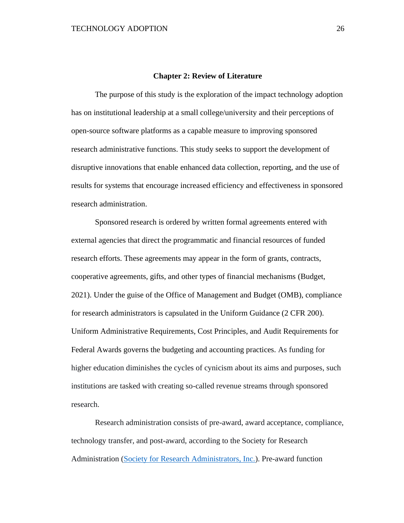#### **Chapter 2: Review of Literature**

<span id="page-25-0"></span>The purpose of this study is the exploration of the impact technology adoption has on institutional leadership at a small college/university and their perceptions of open-source software platforms as a capable measure to improving sponsored research administrative functions. This study seeks to support the development of disruptive innovations that enable enhanced data collection, reporting, and the use of results for systems that encourage increased efficiency and effectiveness in sponsored research administration.

Sponsored research is ordered by written formal agreements entered with external agencies that direct the programmatic and financial resources of funded research efforts. These agreements may appear in the form of grants, contracts, cooperative agreements, gifts, and other types of financial mechanisms (Budget, 2021). Under the guise of the Office of Management and Budget (OMB), compliance for research administrators is capsulated in the Uniform Guidance (2 CFR 200). Uniform Administrative Requirements, Cost Principles, and Audit Requirements for Federal Awards governs the budgeting and accounting practices. As funding for higher education diminishes the cycles of cynicism about its aims and purposes, such institutions are tasked with creating so-called revenue streams through sponsored research.

Research administration consists of pre-award, award acceptance, compliance, technology transfer, and post-award, according to the Society for Research Administration [\(Society for Research Administrators, Inc.\)](https://www.srainternational.org/meetings/intensive-training-old/summer-programs/basics-research-administration). Pre-award function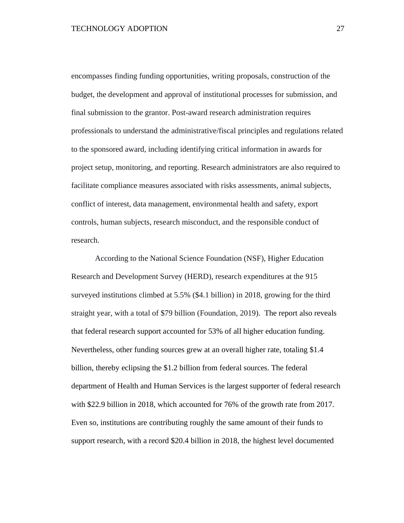encompasses finding funding opportunities, writing proposals, construction of the budget, the development and approval of institutional processes for submission, and final submission to the grantor. Post-award research administration requires professionals to understand the administrative/fiscal principles and regulations related to the sponsored award, including identifying critical information in awards for project setup, monitoring, and reporting. Research administrators are also required to facilitate compliance measures associated with risks assessments, animal subjects, conflict of interest, data management, environmental health and safety, export controls, human subjects, research misconduct, and the responsible conduct of research.

According to the National Science Foundation (NSF), Higher Education Research and Development Survey (HERD), research expenditures at the 915 surveyed institutions climbed at 5.5% (\$4.1 billion) in 2018, growing for the third straight year, with a total of \$79 billion (Foundation, 2019). The report also reveals that federal research support accounted for 53% of all higher education funding. Nevertheless, other funding sources grew at an overall higher rate, totaling \$1.4 billion, thereby eclipsing the \$1.2 billion from federal sources. The federal department of Health and Human Services is the largest supporter of federal research with \$22.9 billion in 2018, which accounted for 76% of the growth rate from 2017. Even so, institutions are contributing roughly the same amount of their funds to support research, with a record \$20.4 billion in 2018, the highest level documented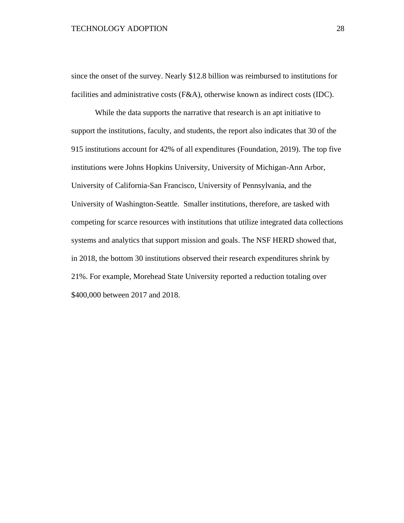since the onset of the survey. Nearly \$12.8 billion was reimbursed to institutions for facilities and administrative costs (F&A), otherwise known as indirect costs (IDC).

While the data supports the narrative that research is an apt initiative to support the institutions, faculty, and students, the report also indicates that 30 of the 915 institutions account for 42% of all expenditures (Foundation, 2019). The top five institutions were Johns Hopkins University, University of Michigan-Ann Arbor, University of California-San Francisco, University of Pennsylvania, and the University of Washington-Seattle. Smaller institutions, therefore, are tasked with competing for scarce resources with institutions that utilize integrated data collections systems and analytics that support mission and goals. The NSF HERD showed that, in 2018, the bottom 30 institutions observed their research expenditures shrink by 21%. For example, Morehead State University reported a reduction totaling over \$400,000 between 2017 and 2018.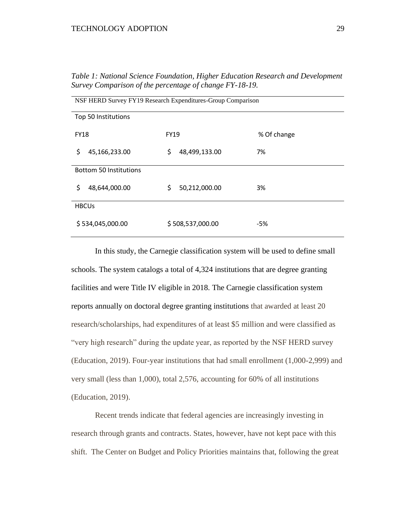| NSF HERD Survey FY19 Research Expenditures-Group Comparison |                     |             |  |  |
|-------------------------------------------------------------|---------------------|-------------|--|--|
|                                                             |                     |             |  |  |
| Top 50 Institutions                                         |                     |             |  |  |
| <b>FY18</b>                                                 | <b>FY19</b>         | % Of change |  |  |
| \$<br>45,166,233.00                                         | \$<br>48,499,133.00 | 7%          |  |  |
| <b>Bottom 50 Institutions</b>                               |                     |             |  |  |
| \$<br>48,644,000.00                                         | \$<br>50,212,000.00 | 3%          |  |  |
| <b>HBCUs</b>                                                |                     |             |  |  |
| \$534,045,000.00                                            | \$508,537,000.00    | -5%         |  |  |

*Table 1: National Science Foundation, Higher Education Research and Development Survey Comparison of the percentage of change FY-18-19.*

In this study, the Carnegie classification system will be used to define small schools. The system catalogs a total of 4,324 institutions that are degree granting facilities and were Title IV eligible in 2018. The Carnegie classification system reports annually on doctoral degree granting institutions that awarded at least 20 research/scholarships, had expenditures of at least \$5 million and were classified as "very high research" during the update year, as reported by the NSF HERD survey (Education, 2019). Four-year institutions that had small enrollment (1,000-2,999) and very small (less than 1,000), total 2,576, accounting for 60% of all institutions (Education, 2019).

Recent trends indicate that federal agencies are increasingly investing in research through grants and contracts. States, however, have not kept pace with this shift. The Center on Budget and Policy Priorities maintains that, following the great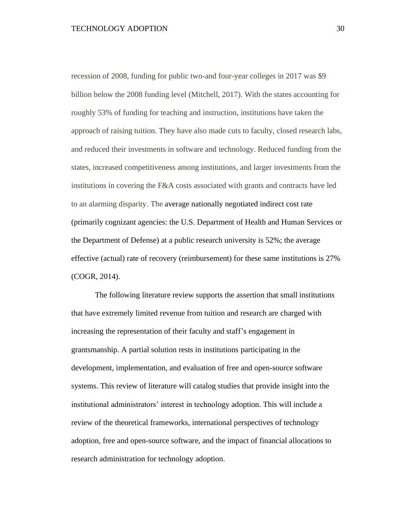recession of 2008, funding for public two-and four-year colleges in 2017 was \$9 billion below the 2008 funding level (Mitchell, 2017). With the states accounting for roughly 53% of funding for teaching and instruction, institutions have taken the approach of raising tuition. They have also made cuts to faculty, closed research labs, and reduced their investments in software and technology. Reduced funding from the states, increased competitiveness among institutions, and larger investments from the institutions in covering the F&A costs associated with grants and contracts have led to an alarming disparity. The average nationally negotiated indirect cost rate (primarily cognizant agencies: the U.S. Department of Health and Human Services or the Department of Defense) at a public research university is 52%; the average effective (actual) rate of recovery (reimbursement) for these same institutions is 27% (COGR, 2014).

The following literature review supports the assertion that small institutions that have extremely limited revenue from tuition and research are charged with increasing the representation of their faculty and staff's engagement in grantsmanship. A partial solution rests in institutions participating in the development, implementation, and evaluation of free and open-source software systems. This review of literature will catalog studies that provide insight into the institutional administrators' interest in technology adoption. This will include a review of the theoretical frameworks, international perspectives of technology adoption, free and open-source software, and the impact of financial allocations to research administration for technology adoption.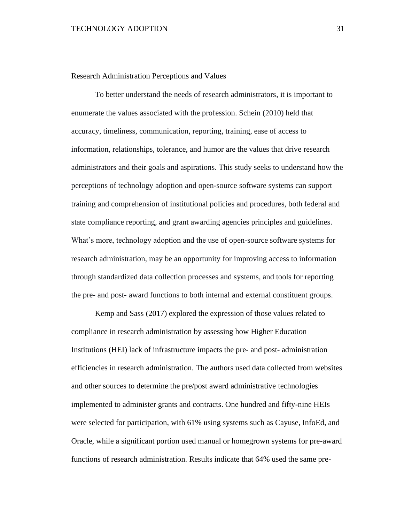<span id="page-30-0"></span>Research Administration Perceptions and Values

To better understand the needs of research administrators, it is important to enumerate the values associated with the profession. Schein (2010) held that accuracy, timeliness, communication, reporting, training, ease of access to information, relationships, tolerance, and humor are the values that drive research administrators and their goals and aspirations. This study seeks to understand how the perceptions of technology adoption and open-source software systems can support training and comprehension of institutional policies and procedures, both federal and state compliance reporting, and grant awarding agencies principles and guidelines. What's more, technology adoption and the use of open-source software systems for research administration, may be an opportunity for improving access to information through standardized data collection processes and systems, and tools for reporting the pre- and post- award functions to both internal and external constituent groups.

Kemp and Sass (2017) explored the expression of those values related to compliance in research administration by assessing how Higher Education Institutions (HEI) lack of infrastructure impacts the pre- and post- administration efficiencies in research administration. The authors used data collected from websites and other sources to determine the pre/post award administrative technologies implemented to administer grants and contracts. One hundred and fifty-nine HEIs were selected for participation, with 61% using systems such as Cayuse, InfoEd, and Oracle, while a significant portion used manual or homegrown systems for pre-award functions of research administration. Results indicate that 64% used the same pre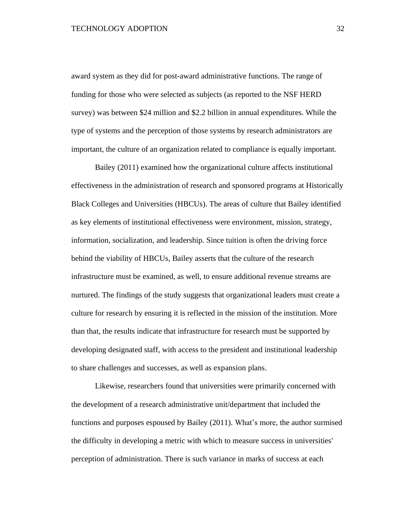award system as they did for post-award administrative functions. The range of funding for those who were selected as subjects (as reported to the NSF HERD survey) was between \$24 million and \$2.2 billion in annual expenditures. While the type of systems and the perception of those systems by research administrators are important, the culture of an organization related to compliance is equally important.

Bailey (2011) examined how the organizational culture affects institutional effectiveness in the administration of research and sponsored programs at Historically Black Colleges and Universities (HBCUs). The areas of culture that Bailey identified as key elements of institutional effectiveness were environment, mission, strategy, information, socialization, and leadership. Since tuition is often the driving force behind the viability of HBCUs, Bailey asserts that the culture of the research infrastructure must be examined, as well, to ensure additional revenue streams are nurtured. The findings of the study suggests that organizational leaders must create a culture for research by ensuring it is reflected in the mission of the institution. More than that, the results indicate that infrastructure for research must be supported by developing designated staff, with access to the president and institutional leadership to share challenges and successes, as well as expansion plans.

Likewise, researchers found that universities were primarily concerned with the development of a research administrative unit/department that included the functions and purposes espoused by Bailey (2011). What's more, the author surmised the difficulty in developing a metric with which to measure success in universities' perception of administration. There is such variance in marks of success at each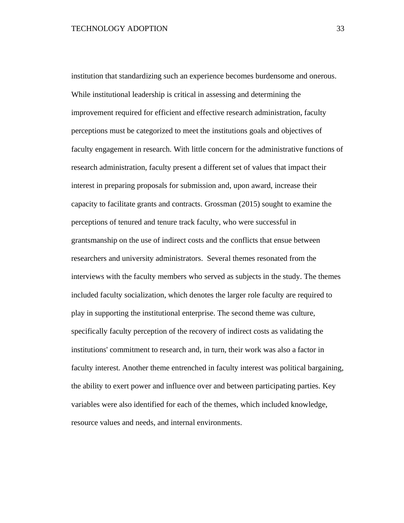institution that standardizing such an experience becomes burdensome and onerous. While institutional leadership is critical in assessing and determining the improvement required for efficient and effective research administration, faculty perceptions must be categorized to meet the institutions goals and objectives of faculty engagement in research. With little concern for the administrative functions of research administration, faculty present a different set of values that impact their interest in preparing proposals for submission and, upon award, increase their capacity to facilitate grants and contracts. Grossman (2015) sought to examine the perceptions of tenured and tenure track faculty, who were successful in grantsmanship on the use of indirect costs and the conflicts that ensue between researchers and university administrators. Several themes resonated from the interviews with the faculty members who served as subjects in the study. The themes included faculty socialization, which denotes the larger role faculty are required to play in supporting the institutional enterprise. The second theme was culture, specifically faculty perception of the recovery of indirect costs as validating the institutions' commitment to research and, in turn, their work was also a factor in faculty interest. Another theme entrenched in faculty interest was political bargaining, the ability to exert power and influence over and between participating parties. Key variables were also identified for each of the themes, which included knowledge, resource values and needs, and internal environments.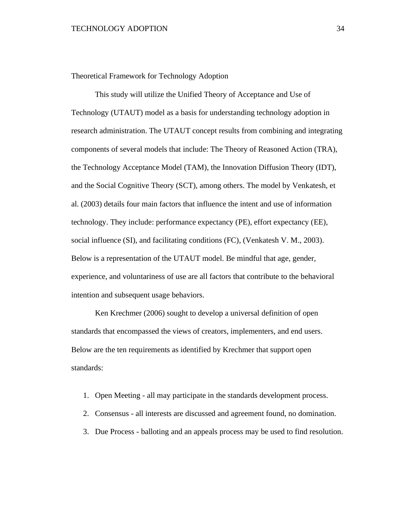<span id="page-33-0"></span>Theoretical Framework for Technology Adoption

This study will utilize the Unified Theory of Acceptance and Use of Technology (UTAUT) model as a basis for understanding technology adoption in research administration. The UTAUT concept results from combining and integrating components of several models that include: The Theory of Reasoned Action (TRA), the Technology Acceptance Model (TAM), the Innovation Diffusion Theory (IDT), and the Social Cognitive Theory (SCT), among others. The model by Venkatesh, et al. (2003) details four main factors that influence the intent and use of information technology. They include: performance expectancy (PE), effort expectancy (EE), social influence (SI), and facilitating conditions (FC), (Venkatesh V. M., 2003). Below is a representation of the UTAUT model. Be mindful that age, gender, experience, and voluntariness of use are all factors that contribute to the behavioral intention and subsequent usage behaviors.

Ken Krechmer (2006) sought to develop a universal definition of open standards that encompassed the views of creators, implementers, and end users. Below are the ten requirements as identified by Krechmer that support open standards:

- 1. Open Meeting all may participate in the standards development process.
- 2. Consensus all interests are discussed and agreement found, no domination.
- 3. Due Process balloting and an appeals process may be used to find resolution.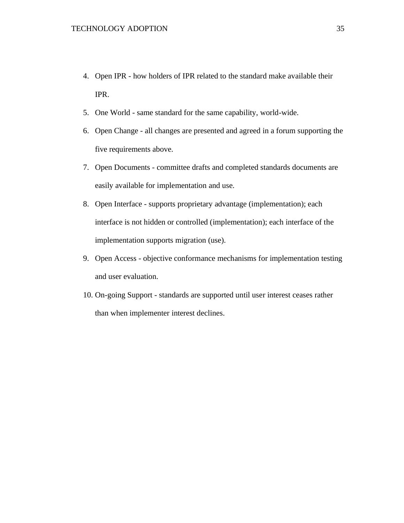- 4. Open IPR how holders of IPR related to the standard make available their IPR.
- 5. One World same standard for the same capability, world-wide.
- 6. Open Change all changes are presented and agreed in a forum supporting the five requirements above.
- 7. Open Documents committee drafts and completed standards documents are easily available for implementation and use.
- 8. Open Interface supports proprietary advantage (implementation); each interface is not hidden or controlled (implementation); each interface of the implementation supports migration (use).
- 9. Open Access objective conformance mechanisms for implementation testing and user evaluation.
- 10. On-going Support standards are supported until user interest ceases rather than when implementer interest declines.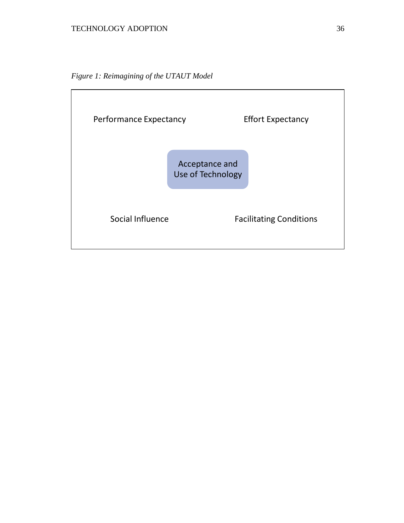*Figure 1: Reimagining of the UTAUT Model*

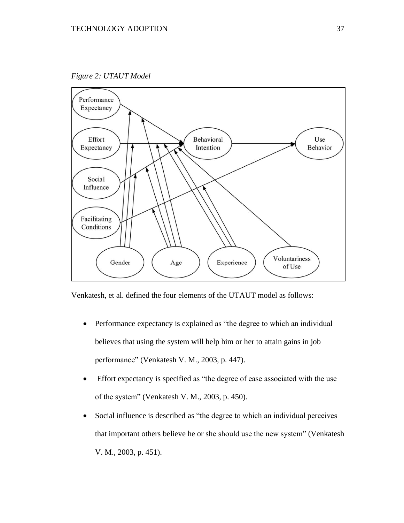*Figure 2: UTAUT Model*



Venkatesh, et al. defined the four elements of the UTAUT model as follows:

- Performance expectancy is explained as "the degree to which an individual believes that using the system will help him or her to attain gains in job performance" (Venkatesh V. M., 2003, p. 447).
- Effort expectancy is specified as "the degree of ease associated with the use of the system" (Venkatesh V. M., 2003, p. 450).
- Social influence is described as "the degree to which an individual perceives that important others believe he or she should use the new system" (Venkatesh V. M., 2003, p. 451).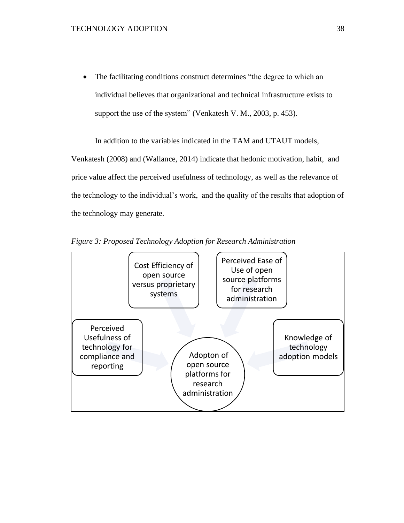• The facilitating conditions construct determines "the degree to which an individual believes that organizational and technical infrastructure exists to support the use of the system" (Venkatesh V. M., 2003, p. 453).

In addition to the variables indicated in the TAM and UTAUT models,

Venkatesh (2008) and (Wallance, 2014) indicate that hedonic motivation, habit, and price value affect the perceived usefulness of technology, as well as the relevance of the technology to the individual's work, and the quality of the results that adoption of the technology may generate.



*Figure 3: Proposed Technology Adoption for Research Administration*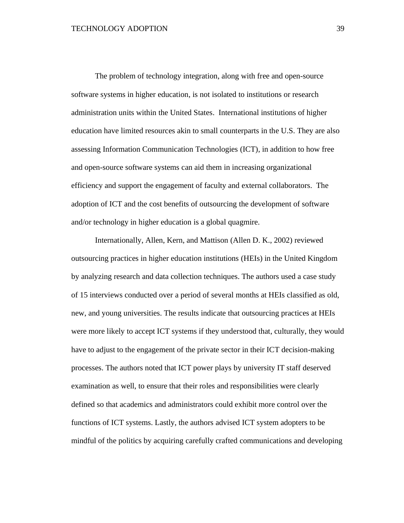The problem of technology integration, along with free and open-source software systems in higher education, is not isolated to institutions or research administration units within the United States. International institutions of higher education have limited resources akin to small counterparts in the U.S. They are also assessing Information Communication Technologies (ICT), in addition to how free and open-source software systems can aid them in increasing organizational efficiency and support the engagement of faculty and external collaborators. The adoption of ICT and the cost benefits of outsourcing the development of software and/or technology in higher education is a global quagmire.

Internationally, Allen, Kern, and Mattison (Allen D. K., 2002) reviewed outsourcing practices in higher education institutions (HEIs) in the United Kingdom by analyzing research and data collection techniques. The authors used a case study of 15 interviews conducted over a period of several months at HEIs classified as old, new, and young universities. The results indicate that outsourcing practices at HEIs were more likely to accept ICT systems if they understood that, culturally, they would have to adjust to the engagement of the private sector in their ICT decision-making processes. The authors noted that ICT power plays by university IT staff deserved examination as well, to ensure that their roles and responsibilities were clearly defined so that academics and administrators could exhibit more control over the functions of ICT systems. Lastly, the authors advised ICT system adopters to be mindful of the politics by acquiring carefully crafted communications and developing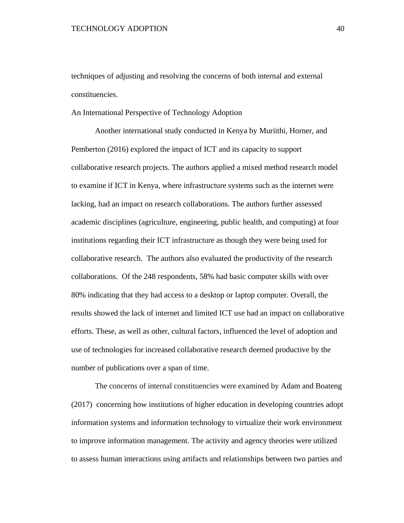techniques of adjusting and resolving the concerns of both internal and external constituencies.

An International Perspective of Technology Adoption

Another international study conducted in Kenya by Muriithi, Horner, and Pemberton (2016) explored the impact of ICT and its capacity to support collaborative research projects. The authors applied a mixed method research model to examine if ICT in Kenya, where infrastructure systems such as the internet were lacking, had an impact on research collaborations. The authors further assessed academic disciplines (agriculture, engineering, public health, and computing) at four institutions regarding their ICT infrastructure as though they were being used for collaborative research. The authors also evaluated the productivity of the research collaborations. Of the 248 respondents, 58% had basic computer skills with over 80% indicating that they had access to a desktop or laptop computer. Overall, the results showed the lack of internet and limited ICT use had an impact on collaborative efforts. These, as well as other, cultural factors, influenced the level of adoption and use of technologies for increased collaborative research deemed productive by the number of publications over a span of time.

The concerns of internal constituencies were examined by Adam and Boateng (2017) concerning how institutions of higher education in developing countries adopt information systems and information technology to virtualize their work environment to improve information management. The activity and agency theories were utilized to assess human interactions using artifacts and relationships between two parties and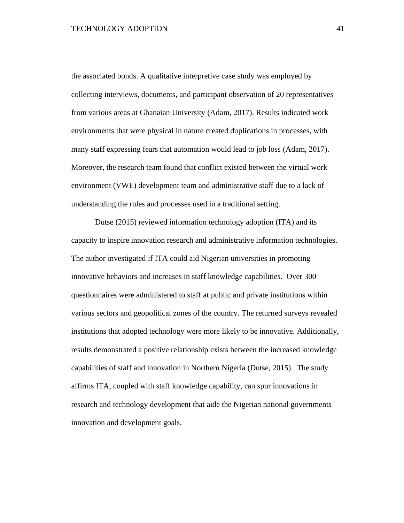the associated bonds. A qualitative interpretive case study was employed by collecting interviews, documents, and participant observation of 20 representatives from various areas at Ghanaian University (Adam, 2017). Results indicated work environments that were physical in nature created duplications in processes, with many staff expressing fears that automation would lead to job loss (Adam, 2017). Moreover, the research team found that conflict existed between the virtual work environment (VWE) development team and administrative staff due to a lack of understanding the rules and processes used in a traditional setting.

Dutse (2015) reviewed information technology adoption (ITA) and its capacity to inspire innovation research and administrative information technologies. The author investigated if ITA could aid Nigerian universities in promoting innovative behaviors and increases in staff knowledge capabilities. Over 300 questionnaires were administered to staff at public and private institutions within various sectors and geopolitical zones of the country. The returned surveys revealed institutions that adopted technology were more likely to be innovative. Additionally, results demonstrated a positive relationship exists between the increased knowledge capabilities of staff and innovation in Northern Nigeria (Dutse, 2015). The study affirms ITA, coupled with staff knowledge capability, can spur innovations in research and technology development that aide the Nigerian national governments innovation and development goals.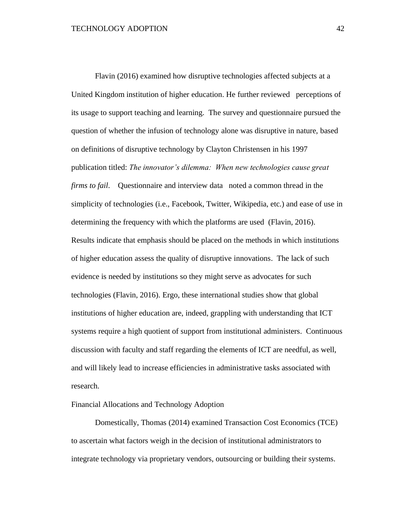Flavin (2016) examined how disruptive technologies affected subjects at a United Kingdom institution of higher education. He further reviewed perceptions of its usage to support teaching and learning. The survey and questionnaire pursued the question of whether the infusion of technology alone was disruptive in nature, based on definitions of disruptive technology by Clayton Christensen in his 1997 publication titled: *The innovator's dilemma: When new technologies cause great firms to fail*. Questionnaire and interview data noted a common thread in the simplicity of technologies (i.e., Facebook, Twitter, Wikipedia, etc.) and ease of use in determining the frequency with which the platforms are used (Flavin, 2016). Results indicate that emphasis should be placed on the methods in which institutions of higher education assess the quality of disruptive innovations. The lack of such evidence is needed by institutions so they might serve as advocates for such technologies (Flavin, 2016). Ergo, these international studies show that global institutions of higher education are, indeed, grappling with understanding that ICT systems require a high quotient of support from institutional administers. Continuous discussion with faculty and staff regarding the elements of ICT are needful, as well, and will likely lead to increase efficiencies in administrative tasks associated with research.

# Financial Allocations and Technology Adoption

Domestically, Thomas (2014) examined Transaction Cost Economics (TCE) to ascertain what factors weigh in the decision of institutional administrators to integrate technology via proprietary vendors, outsourcing or building their systems.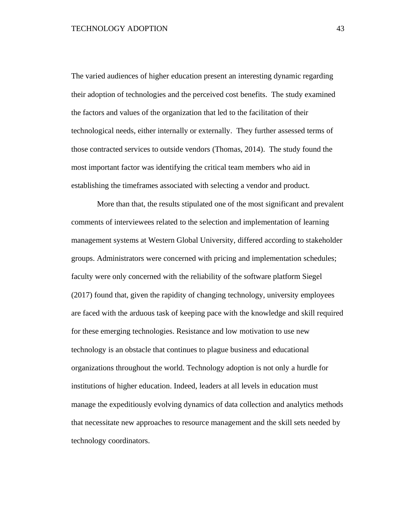The varied audiences of higher education present an interesting dynamic regarding their adoption of technologies and the perceived cost benefits. The study examined the factors and values of the organization that led to the facilitation of their technological needs, either internally or externally. They further assessed terms of those contracted services to outside vendors (Thomas, 2014). The study found the most important factor was identifying the critical team members who aid in establishing the timeframes associated with selecting a vendor and product.

More than that, the results stipulated one of the most significant and prevalent comments of interviewees related to the selection and implementation of learning management systems at Western Global University, differed according to stakeholder groups. Administrators were concerned with pricing and implementation schedules; faculty were only concerned with the reliability of the software platform Siegel (2017) found that, given the rapidity of changing technology, university employees are faced with the arduous task of keeping pace with the knowledge and skill required for these emerging technologies. Resistance and low motivation to use new technology is an obstacle that continues to plague business and educational organizations throughout the world. Technology adoption is not only a hurdle for institutions of higher education. Indeed, leaders at all levels in education must manage the expeditiously evolving dynamics of data collection and analytics methods that necessitate new approaches to resource management and the skill sets needed by technology coordinators.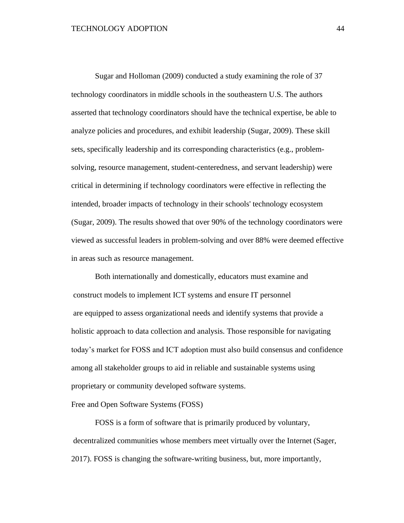Sugar and Holloman (2009) conducted a study examining the role of 37 technology coordinators in middle schools in the southeastern U.S. The authors asserted that technology coordinators should have the technical expertise, be able to analyze policies and procedures, and exhibit leadership (Sugar, 2009). These skill sets, specifically leadership and its corresponding characteristics (e.g., problemsolving, resource management, student-centeredness, and servant leadership) were critical in determining if technology coordinators were effective in reflecting the intended, broader impacts of technology in their schools' technology ecosystem (Sugar, 2009). The results showed that over 90% of the technology coordinators were viewed as successful leaders in problem-solving and over 88% were deemed effective in areas such as resource management.

Both internationally and domestically, educators must examine and construct models to implement ICT systems and ensure IT personnel are equipped to assess organizational needs and identify systems that provide a holistic approach to data collection and analysis. Those responsible for navigating today's market for FOSS and ICT adoption must also build consensus and confidence among all stakeholder groups to aid in reliable and sustainable systems using proprietary or community developed software systems.

## Free and Open Software Systems (FOSS)

FOSS is a form of software that is primarily produced by voluntary, decentralized communities whose members meet virtually over the Internet (Sager, 2017). FOSS is changing the software-writing business, but, more importantly,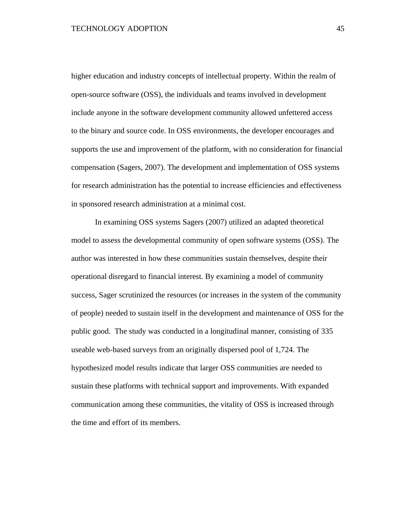higher education and industry concepts of intellectual property. Within the realm of open-source software (OSS), the individuals and teams involved in development include anyone in the software development community allowed unfettered access to the binary and source code. In OSS environments, the developer encourages and supports the use and improvement of the platform, with no consideration for financial compensation (Sagers, 2007). The development and implementation of OSS systems for research administration has the potential to increase efficiencies and effectiveness in sponsored research administration at a minimal cost.

In examining OSS systems Sagers (2007) utilized an adapted theoretical model to assess the developmental community of open software systems (OSS). The author was interested in how these communities sustain themselves, despite their operational disregard to financial interest. By examining a model of community success, Sager scrutinized the resources (or increases in the system of the community of people) needed to sustain itself in the development and maintenance of OSS for the public good. The study was conducted in a longitudinal manner, consisting of 335 useable web-based surveys from an originally dispersed pool of 1,724. The hypothesized model results indicate that larger OSS communities are needed to sustain these platforms with technical support and improvements. With expanded communication among these communities, the vitality of OSS is increased through the time and effort of its members.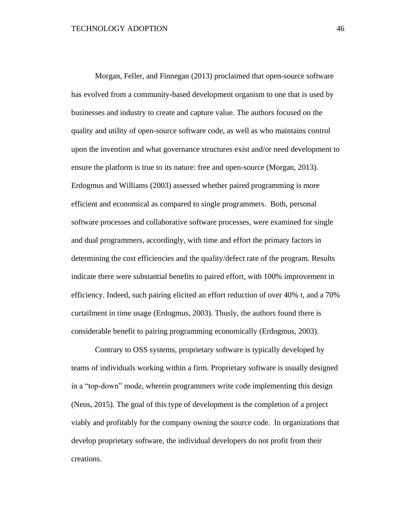Morgan, Feller, and Finnegan (2013) proclaimed that open-source software has evolved from a community-based development organism to one that is used by businesses and industry to create and capture value. The authors focused on the quality and utility of open-source software code, as well as who maintains control upon the invention and what governance structures exist and/or need development to ensure the platform is true to its nature: free and open-source (Morgan, 2013). Erdogmus and Williams (2003) assessed whether paired programming is more efficient and economical as compared to single programmers. Both, personal software processes and collaborative software processes, were examined for single and dual programmers, accordingly, with time and effort the primary factors in determining the cost efficiencies and the quality/defect rate of the program. Results indicate there were substantial benefits to paired effort, with 100% improvement in efficiency. Indeed, such pairing elicited an effort reduction of over 40% t, and a 70% curtailment in time usage (Erdogmus, 2003). Thusly, the authors found there is considerable benefit to pairing programming economically (Erdogmus, 2003).

Contrary to OSS systems, proprietary software is typically developed by teams of individuals working within a firm. Proprietary software is usually designed in a "top-down" mode, wherein programmers write code implementing this design (Neus, 2015). The goal of this type of development is the completion of a project viably and profitably for the company owning the source code. In organizations that develop proprietary software, the individual developers do not profit from their creations.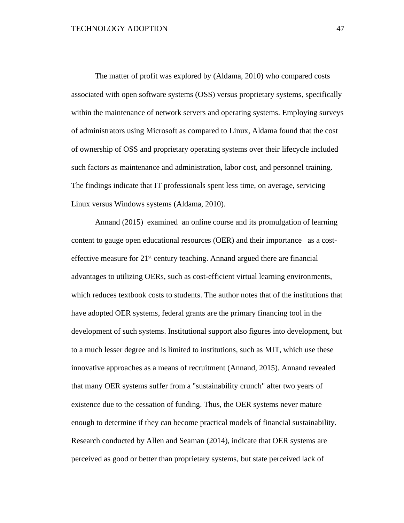The matter of profit was explored by (Aldama, 2010) who compared costs associated with open software systems (OSS) versus proprietary systems, specifically within the maintenance of network servers and operating systems. Employing surveys of administrators using Microsoft as compared to Linux, Aldama found that the cost of ownership of OSS and proprietary operating systems over their lifecycle included such factors as maintenance and administration, labor cost, and personnel training. The findings indicate that IT professionals spent less time, on average, servicing Linux versus Windows systems (Aldama, 2010).

Annand (2015) examined an online course and its promulgation of learning content to gauge open educational resources (OER) and their importance as a costeffective measure for 21<sup>st</sup> century teaching. Annand argued there are financial advantages to utilizing OERs, such as cost-efficient virtual learning environments, which reduces textbook costs to students. The author notes that of the institutions that have adopted OER systems, federal grants are the primary financing tool in the development of such systems. Institutional support also figures into development, but to a much lesser degree and is limited to institutions, such as MIT, which use these innovative approaches as a means of recruitment (Annand, 2015). Annand revealed that many OER systems suffer from a "sustainability crunch" after two years of existence due to the cessation of funding. Thus, the OER systems never mature enough to determine if they can become practical models of financial sustainability. Research conducted by Allen and Seaman (2014), indicate that OER systems are perceived as good or better than proprietary systems, but state perceived lack of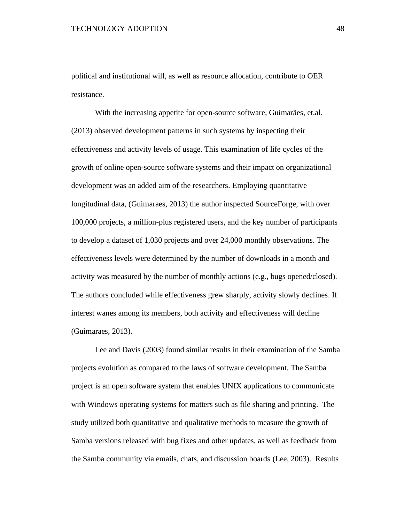political and institutional will, as well as resource allocation, contribute to OER resistance.

With the increasing appetite for open-source software, Guimarães, et.al. (2013) observed development patterns in such systems by inspecting their effectiveness and activity levels of usage. This examination of life cycles of the growth of online open-source software systems and their impact on organizational development was an added aim of the researchers. Employing quantitative longitudinal data, (Guimaraes, 2013) the author inspected SourceForge, with over 100,000 projects, a million-plus registered users, and the key number of participants to develop a dataset of 1,030 projects and over 24,000 monthly observations. The effectiveness levels were determined by the number of downloads in a month and activity was measured by the number of monthly actions (e.g., bugs opened/closed). The authors concluded while effectiveness grew sharply, activity slowly declines. If interest wanes among its members, both activity and effectiveness will decline (Guimaraes, 2013).

Lee and Davis (2003) found similar results in their examination of the Samba projects evolution as compared to the laws of software development. The Samba project is an open software system that enables UNIX applications to communicate with Windows operating systems for matters such as file sharing and printing. The study utilized both quantitative and qualitative methods to measure the growth of Samba versions released with bug fixes and other updates, as well as feedback from the Samba community via emails, chats, and discussion boards (Lee, 2003). Results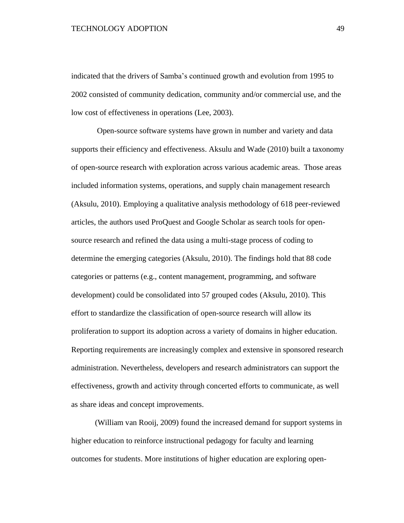### TECHNOLOGY ADOPTION 49

indicated that the drivers of Samba's continued growth and evolution from 1995 to 2002 consisted of community dedication, community and/or commercial use, and the low cost of effectiveness in operations (Lee, 2003).

Open-source software systems have grown in number and variety and data supports their efficiency and effectiveness. Aksulu and Wade (2010) built a taxonomy of open-source research with exploration across various academic areas. Those areas included information systems, operations, and supply chain management research (Aksulu, 2010). Employing a qualitative analysis methodology of 618 peer-reviewed articles, the authors used ProQuest and Google Scholar as search tools for opensource research and refined the data using a multi-stage process of coding to determine the emerging categories (Aksulu, 2010). The findings hold that 88 code categories or patterns (e.g., content management, programming, and software development) could be consolidated into 57 grouped codes (Aksulu, 2010). This effort to standardize the classification of open-source research will allow its proliferation to support its adoption across a variety of domains in higher education. Reporting requirements are increasingly complex and extensive in sponsored research administration. Nevertheless, developers and research administrators can support the effectiveness, growth and activity through concerted efforts to communicate, as well as share ideas and concept improvements.

(William van Rooij, 2009) found the increased demand for support systems in higher education to reinforce instructional pedagogy for faculty and learning outcomes for students. More institutions of higher education are exploring open-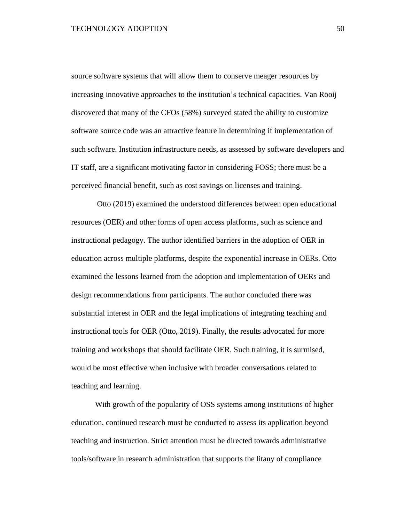source software systems that will allow them to conserve meager resources by increasing innovative approaches to the institution's technical capacities. Van Rooij discovered that many of the CFOs (58%) surveyed stated the ability to customize software source code was an attractive feature in determining if implementation of such software. Institution infrastructure needs, as assessed by software developers and IT staff, are a significant motivating factor in considering FOSS; there must be a perceived financial benefit, such as cost savings on licenses and training.

Otto (2019) examined the understood differences between open educational resources (OER) and other forms of open access platforms, such as science and instructional pedagogy. The author identified barriers in the adoption of OER in education across multiple platforms, despite the exponential increase in OERs. Otto examined the lessons learned from the adoption and implementation of OERs and design recommendations from participants. The author concluded there was substantial interest in OER and the legal implications of integrating teaching and instructional tools for OER (Otto, 2019). Finally, the results advocated for more training and workshops that should facilitate OER. Such training, it is surmised, would be most effective when inclusive with broader conversations related to teaching and learning.

With growth of the popularity of OSS systems among institutions of higher education, continued research must be conducted to assess its application beyond teaching and instruction. Strict attention must be directed towards administrative tools/software in research administration that supports the litany of compliance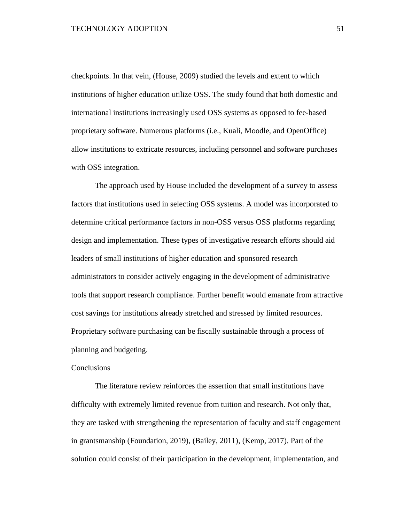checkpoints. In that vein, (House, 2009) studied the levels and extent to which institutions of higher education utilize OSS. The study found that both domestic and international institutions increasingly used OSS systems as opposed to fee-based proprietary software. Numerous platforms (i.e., Kuali, Moodle, and OpenOffice) allow institutions to extricate resources, including personnel and software purchases with OSS integration.

The approach used by House included the development of a survey to assess factors that institutions used in selecting OSS systems. A model was incorporated to determine critical performance factors in non-OSS versus OSS platforms regarding design and implementation. These types of investigative research efforts should aid leaders of small institutions of higher education and sponsored research administrators to consider actively engaging in the development of administrative tools that support research compliance. Further benefit would emanate from attractive cost savings for institutions already stretched and stressed by limited resources. Proprietary software purchasing can be fiscally sustainable through a process of planning and budgeting.

### **Conclusions**

The literature review reinforces the assertion that small institutions have difficulty with extremely limited revenue from tuition and research. Not only that, they are tasked with strengthening the representation of faculty and staff engagement in grantsmanship (Foundation, 2019), (Bailey, 2011), (Kemp, 2017). Part of the solution could consist of their participation in the development, implementation, and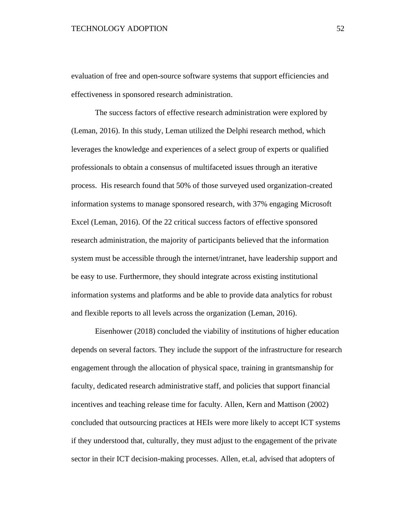evaluation of free and open-source software systems that support efficiencies and effectiveness in sponsored research administration.

The success factors of effective research administration were explored by (Leman, 2016). In this study, Leman utilized the Delphi research method, which leverages the knowledge and experiences of a select group of experts or qualified professionals to obtain a consensus of multifaceted issues through an iterative process. His research found that 50% of those surveyed used organization-created information systems to manage sponsored research, with 37% engaging Microsoft Excel (Leman, 2016). Of the 22 critical success factors of effective sponsored research administration, the majority of participants believed that the information system must be accessible through the internet/intranet, have leadership support and be easy to use. Furthermore, they should integrate across existing institutional information systems and platforms and be able to provide data analytics for robust and flexible reports to all levels across the organization (Leman, 2016).

Eisenhower (2018) concluded the viability of institutions of higher education depends on several factors. They include the support of the infrastructure for research engagement through the allocation of physical space, training in grantsmanship for faculty, dedicated research administrative staff, and policies that support financial incentives and teaching release time for faculty. Allen, Kern and Mattison (2002) concluded that outsourcing practices at HEIs were more likely to accept ICT systems if they understood that, culturally, they must adjust to the engagement of the private sector in their ICT decision-making processes. Allen, et.al, advised that adopters of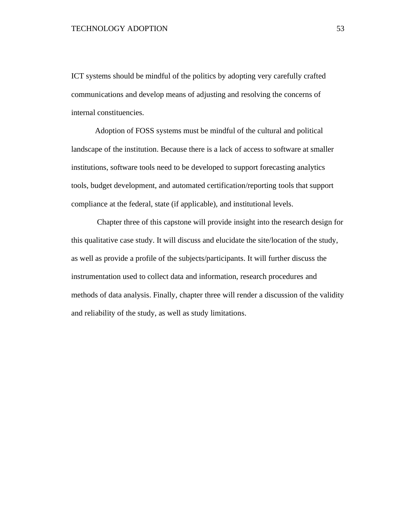ICT systems should be mindful of the politics by adopting very carefully crafted communications and develop means of adjusting and resolving the concerns of internal constituencies.

Adoption of FOSS systems must be mindful of the cultural and political landscape of the institution. Because there is a lack of access to software at smaller institutions, software tools need to be developed to support forecasting analytics tools, budget development, and automated certification/reporting tools that support compliance at the federal, state (if applicable), and institutional levels.

Chapter three of this capstone will provide insight into the research design for this qualitative case study. It will discuss and elucidate the site/location of the study, as well as provide a profile of the subjects/participants. It will further discuss the instrumentation used to collect data and information, research procedures and methods of data analysis. Finally, chapter three will render a discussion of the validity and reliability of the study, as well as study limitations.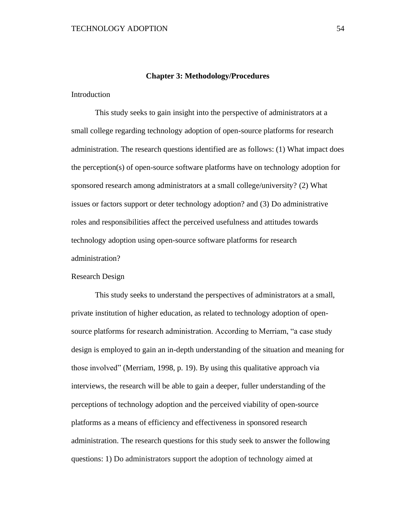#### **Chapter 3: Methodology/Procedures**

Introduction

This study seeks to gain insight into the perspective of administrators at a small college regarding technology adoption of open-source platforms for research administration. The research questions identified are as follows: (1) What impact does the perception(s) of open-source software platforms have on technology adoption for sponsored research among administrators at a small college/university? (2) What issues or factors support or deter technology adoption? and (3) Do administrative roles and responsibilities affect the perceived usefulness and attitudes towards technology adoption using open-source software platforms for research administration?

# Research Design

This study seeks to understand the perspectives of administrators at a small, private institution of higher education, as related to technology adoption of opensource platforms for research administration. According to Merriam, "a case study design is employed to gain an in-depth understanding of the situation and meaning for those involved" (Merriam, 1998, p. 19). By using this qualitative approach via interviews, the research will be able to gain a deeper, fuller understanding of the perceptions of technology adoption and the perceived viability of open-source platforms as a means of efficiency and effectiveness in sponsored research administration. The research questions for this study seek to answer the following questions: 1) Do administrators support the adoption of technology aimed at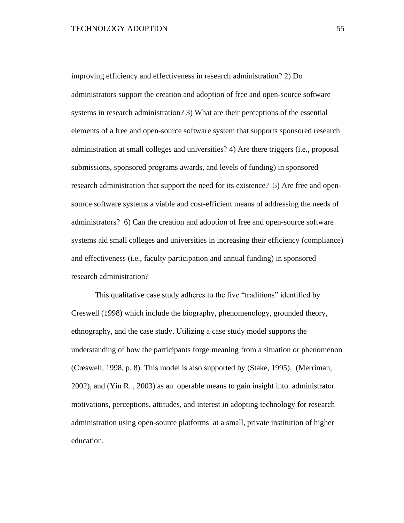improving efficiency and effectiveness in research administration? 2) Do administrators support the creation and adoption of free and open-source software systems in research administration? 3) What are their perceptions of the essential elements of a free and open-source software system that supports sponsored research administration at small colleges and universities? 4) Are there triggers (i.e., proposal submissions, sponsored programs awards, and levels of funding) in sponsored research administration that support the need for its existence? 5) Are free and opensource software systems a viable and cost-efficient means of addressing the needs of administrators? 6) Can the creation and adoption of free and open-source software systems aid small colleges and universities in increasing their efficiency (compliance) and effectiveness (i.e., faculty participation and annual funding) in sponsored research administration?

This qualitative case study adheres to the five "traditions" identified by Creswell (1998) which include the biography, phenomenology, grounded theory, ethnography, and the case study. Utilizing a case study model supports the understanding of how the participants forge meaning from a situation or phenomenon (Creswell, 1998, p. 8). This model is also supported by (Stake, 1995), (Merriman, 2002), and (Yin R. , 2003) as an operable means to gain insight into administrator motivations, perceptions, attitudes, and interest in adopting technology for research administration using open-source platforms at a small, private institution of higher education.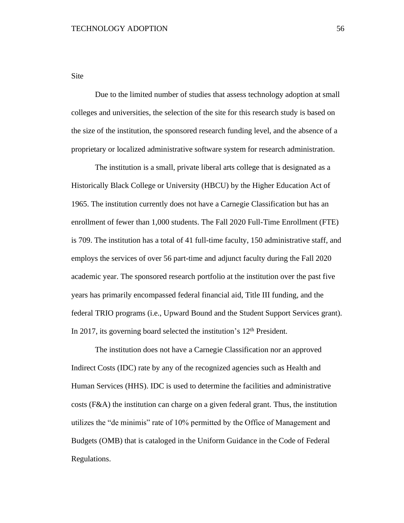Site

Due to the limited number of studies that assess technology adoption at small colleges and universities, the selection of the site for this research study is based on the size of the institution, the sponsored research funding level, and the absence of a proprietary or localized administrative software system for research administration.

The institution is a small, private liberal arts college that is designated as a Historically Black College or University (HBCU) by the Higher Education Act of 1965. The institution currently does not have a Carnegie Classification but has an enrollment of fewer than 1,000 students. The Fall 2020 Full-Time Enrollment (FTE) is 709. The institution has a total of 41 full-time faculty, 150 administrative staff, and employs the services of over 56 part-time and adjunct faculty during the Fall 2020 academic year. The sponsored research portfolio at the institution over the past five years has primarily encompassed federal financial aid, Title III funding, and the federal TRIO programs (i.e., Upward Bound and the Student Support Services grant). In 2017, its governing board selected the institution's 12<sup>th</sup> President.

The institution does not have a Carnegie Classification nor an approved Indirect Costs (IDC) rate by any of the recognized agencies such as Health and Human Services (HHS). IDC is used to determine the facilities and administrative costs (F&A) the institution can charge on a given federal grant. Thus, the institution utilizes the "de minimis" rate of 10% permitted by the Office of Management and Budgets (OMB) that is cataloged in the Uniform Guidance in the Code of Federal Regulations.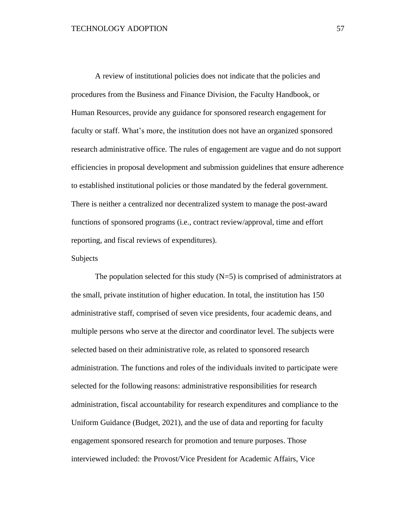A review of institutional policies does not indicate that the policies and procedures from the Business and Finance Division, the Faculty Handbook, or Human Resources, provide any guidance for sponsored research engagement for faculty or staff. What's more, the institution does not have an organized sponsored research administrative office. The rules of engagement are vague and do not support efficiencies in proposal development and submission guidelines that ensure adherence to established institutional policies or those mandated by the federal government. There is neither a centralized nor decentralized system to manage the post-award functions of sponsored programs (i.e., contract review/approval, time and effort reporting, and fiscal reviews of expenditures).

#### Subjects

The population selected for this study  $(N=5)$  is comprised of administrators at the small, private institution of higher education. In total, the institution has 150 administrative staff, comprised of seven vice presidents, four academic deans, and multiple persons who serve at the director and coordinator level. The subjects were selected based on their administrative role, as related to sponsored research administration. The functions and roles of the individuals invited to participate were selected for the following reasons: administrative responsibilities for research administration, fiscal accountability for research expenditures and compliance to the Uniform Guidance (Budget, 2021), and the use of data and reporting for faculty engagement sponsored research for promotion and tenure purposes. Those interviewed included: the Provost/Vice President for Academic Affairs, Vice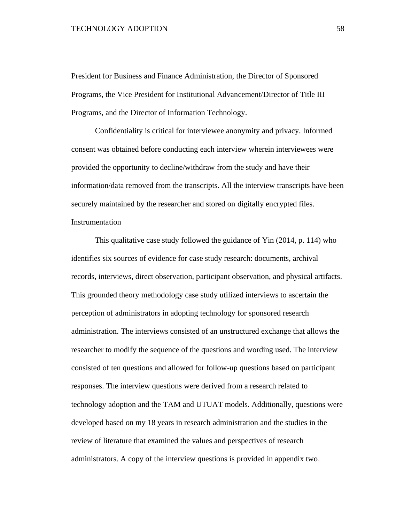President for Business and Finance Administration, the Director of Sponsored Programs, the Vice President for Institutional Advancement/Director of Title III Programs, and the Director of Information Technology.

Confidentiality is critical for interviewee anonymity and privacy. Informed consent was obtained before conducting each interview wherein interviewees were provided the opportunity to decline/withdraw from the study and have their information/data removed from the transcripts. All the interview transcripts have been securely maintained by the researcher and stored on digitally encrypted files. Instrumentation

This qualitative case study followed the guidance of Yin (2014, p. 114) who identifies six sources of evidence for case study research: documents, archival records, interviews, direct observation, participant observation, and physical artifacts. This grounded theory methodology case study utilized interviews to ascertain the perception of administrators in adopting technology for sponsored research administration. The interviews consisted of an unstructured exchange that allows the researcher to modify the sequence of the questions and wording used. The interview consisted of ten questions and allowed for follow-up questions based on participant responses. The interview questions were derived from a research related to technology adoption and the TAM and UTUAT models. Additionally, questions were developed based on my 18 years in research administration and the studies in the review of literature that examined the values and perspectives of research administrators. A copy of the interview questions is provided in appendix two.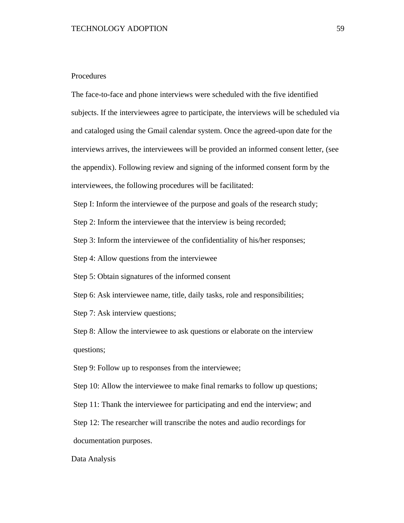# Procedures

The face-to-face and phone interviews were scheduled with the five identified subjects. If the interviewees agree to participate, the interviews will be scheduled via and cataloged using the Gmail calendar system. Once the agreed-upon date for the interviews arrives, the interviewees will be provided an informed consent letter, (see the appendix). Following review and signing of the informed consent form by the interviewees, the following procedures will be facilitated:

Step I: Inform the interviewee of the purpose and goals of the research study;

Step 2: Inform the interviewee that the interview is being recorded;

Step 3: Inform the interviewee of the confidentiality of his/her responses;

Step 4: Allow questions from the interviewee

Step 5: Obtain signatures of the informed consent

Step 6: Ask interviewee name, title, daily tasks, role and responsibilities;

Step 7: Ask interview questions;

Step 8: Allow the interviewee to ask questions or elaborate on the interview questions;

Step 9: Follow up to responses from the interviewee;

Step 10: Allow the interviewee to make final remarks to follow up questions;

Step 11: Thank the interviewee for participating and end the interview; and

Step 12: The researcher will transcribe the notes and audio recordings for documentation purposes.

Data Analysis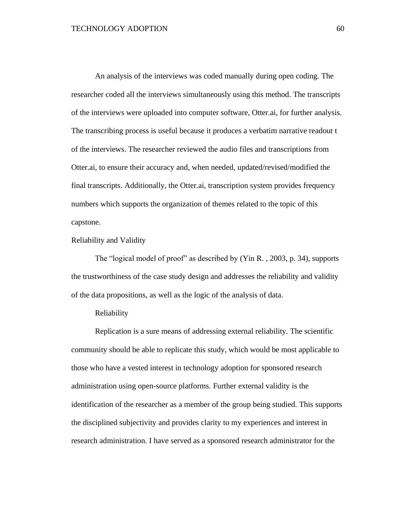An analysis of the interviews was coded manually during open coding. The researcher coded all the interviews simultaneously using this method. The transcripts of the interviews were uploaded into computer software, Otter.ai, for further analysis. The transcribing process is useful because it produces a verbatim narrative readout t of the interviews. The researcher reviewed the audio files and transcriptions from Otter.ai, to ensure their accuracy and, when needed, updated/revised/modified the final transcripts. Additionally, the Otter.ai, transcription system provides frequency numbers which supports the organization of themes related to the topic of this capstone.

Reliability and Validity

The "logical model of proof" as described by (Yin R. , 2003, p. 34), supports the trustworthiness of the case study design and addresses the reliability and validity of the data propositions, as well as the logic of the analysis of data.

## Reliability

Replication is a sure means of addressing external reliability. The scientific community should be able to replicate this study, which would be most applicable to those who have a vested interest in technology adoption for sponsored research administration using open-source platforms. Further external validity is the identification of the researcher as a member of the group being studied. This supports the disciplined subjectivity and provides clarity to my experiences and interest in research administration. I have served as a sponsored research administrator for the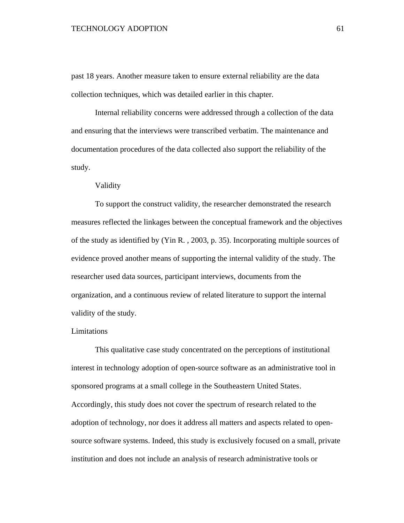### TECHNOLOGY ADOPTION 61

past 18 years. Another measure taken to ensure external reliability are the data collection techniques, which was detailed earlier in this chapter.

Internal reliability concerns were addressed through a collection of the data and ensuring that the interviews were transcribed verbatim. The maintenance and documentation procedures of the data collected also support the reliability of the study.

Validity

To support the construct validity, the researcher demonstrated the research measures reflected the linkages between the conceptual framework and the objectives of the study as identified by (Yin R. , 2003, p. 35). Incorporating multiple sources of evidence proved another means of supporting the internal validity of the study. The researcher used data sources, participant interviews, documents from the organization, and a continuous review of related literature to support the internal validity of the study.

# Limitations

This qualitative case study concentrated on the perceptions of institutional interest in technology adoption of open-source software as an administrative tool in sponsored programs at a small college in the Southeastern United States. Accordingly, this study does not cover the spectrum of research related to the adoption of technology, nor does it address all matters and aspects related to opensource software systems. Indeed, this study is exclusively focused on a small, private institution and does not include an analysis of research administrative tools or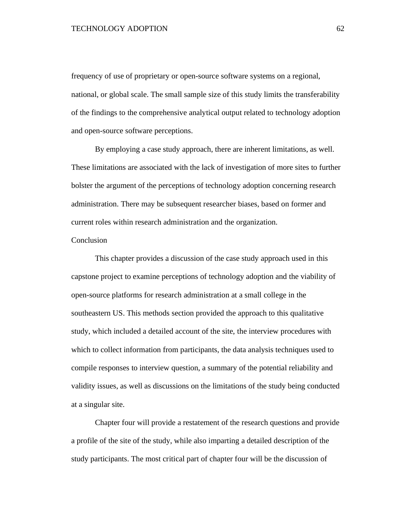## TECHNOLOGY ADOPTION 62

frequency of use of proprietary or open-source software systems on a regional, national, or global scale. The small sample size of this study limits the transferability of the findings to the comprehensive analytical output related to technology adoption and open-source software perceptions.

By employing a case study approach, there are inherent limitations, as well. These limitations are associated with the lack of investigation of more sites to further bolster the argument of the perceptions of technology adoption concerning research administration. There may be subsequent researcher biases, based on former and current roles within research administration and the organization.

# Conclusion

This chapter provides a discussion of the case study approach used in this capstone project to examine perceptions of technology adoption and the viability of open-source platforms for research administration at a small college in the southeastern US. This methods section provided the approach to this qualitative study, which included a detailed account of the site, the interview procedures with which to collect information from participants, the data analysis techniques used to compile responses to interview question, a summary of the potential reliability and validity issues, as well as discussions on the limitations of the study being conducted at a singular site.

Chapter four will provide a restatement of the research questions and provide a profile of the site of the study, while also imparting a detailed description of the study participants. The most critical part of chapter four will be the discussion of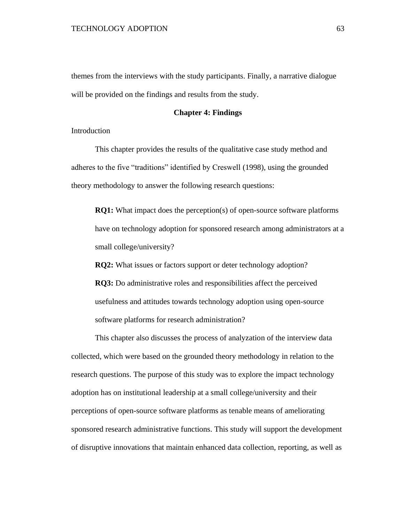themes from the interviews with the study participants. Finally, a narrative dialogue will be provided on the findings and results from the study.

# **Chapter 4: Findings**

Introduction

This chapter provides the results of the qualitative case study method and adheres to the five "traditions" identified by Creswell (1998), using the grounded theory methodology to answer the following research questions:

**RQ1:** What impact does the perception(s) of open-source software platforms have on technology adoption for sponsored research among administrators at a small college/university?

**RQ2:** What issues or factors support or deter technology adoption?

**RQ3:** Do administrative roles and responsibilities affect the perceived usefulness and attitudes towards technology adoption using open-source software platforms for research administration?

This chapter also discusses the process of analyzation of the interview data collected, which were based on the grounded theory methodology in relation to the research questions. The purpose of this study was to explore the impact technology adoption has on institutional leadership at a small college/university and their perceptions of open-source software platforms as tenable means of ameliorating sponsored research administrative functions. This study will support the development of disruptive innovations that maintain enhanced data collection, reporting, as well as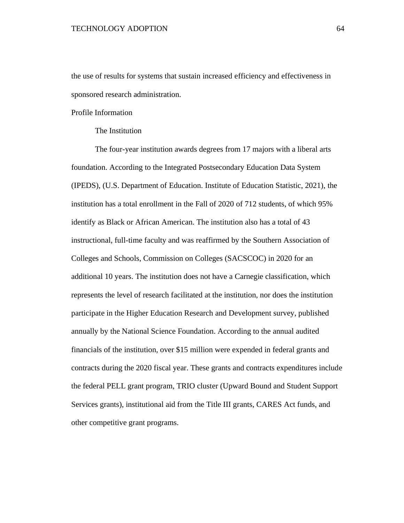the use of results for systems that sustain increased efficiency and effectiveness in sponsored research administration.

Profile Information

## The Institution

The four-year institution awards degrees from 17 majors with a liberal arts foundation. According to the Integrated Postsecondary Education Data System (IPEDS), (U.S. Department of Education. Institute of Education Statistic, 2021), the institution has a total enrollment in the Fall of 2020 of 712 students, of which 95% identify as Black or African American. The institution also has a total of 43 instructional, full-time faculty and was reaffirmed by the Southern Association of Colleges and Schools, Commission on Colleges (SACSCOC) in 2020 for an additional 10 years. The institution does not have a Carnegie classification, which represents the level of research facilitated at the institution, nor does the institution participate in the Higher Education Research and Development survey, published annually by the National Science Foundation. According to the annual audited financials of the institution, over \$15 million were expended in federal grants and contracts during the 2020 fiscal year. These grants and contracts expenditures include the federal PELL grant program, TRIO cluster (Upward Bound and Student Support Services grants), institutional aid from the Title III grants, CARES Act funds, and other competitive grant programs.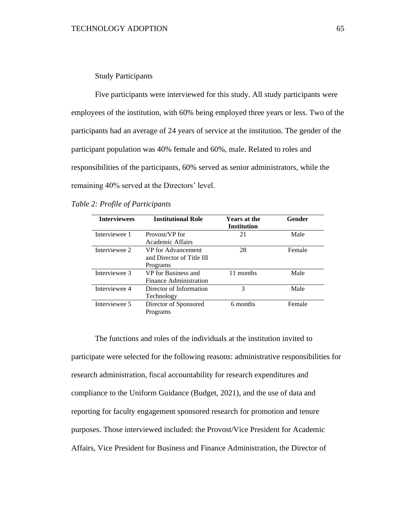# Study Participants

Five participants were interviewed for this study. All study participants were employees of the institution, with 60% being employed three years or less. Two of the participants had an average of 24 years of service at the institution. The gender of the participant population was 40% female and 60%, male. Related to roles and responsibilities of the participants, 60% served as senior administrators, while the remaining 40% served at the Directors' level.

# *Table 2: Profile of Participants*

| <b>Interviewees</b> | <b>Institutional Role</b>                                   | <b>Years at the</b><br><b>Institution</b> | Gender |
|---------------------|-------------------------------------------------------------|-------------------------------------------|--------|
| Interviewee 1       | Provost/VP for<br>Academic Affairs                          | 21                                        | Male   |
| Interviewee 2       | VP for Advancement<br>and Director of Title III<br>Programs | 28                                        | Female |
| Interviewee 3       | VP for Business and<br>Finance Administration               | 11 months                                 | Male   |
| Interviewee 4       | Director of Information<br>Technology                       | 3                                         | Male   |
| Interviewee 5       | Director of Sponsored<br>Programs                           | 6 months                                  | Female |

The functions and roles of the individuals at the institution invited to participate were selected for the following reasons: administrative responsibilities for research administration, fiscal accountability for research expenditures and compliance to the Uniform Guidance (Budget, 2021), and the use of data and reporting for faculty engagement sponsored research for promotion and tenure purposes. Those interviewed included: the Provost/Vice President for Academic Affairs, Vice President for Business and Finance Administration, the Director of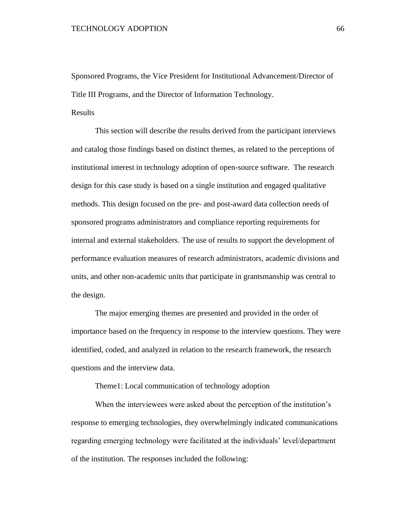Sponsored Programs, the Vice President for Institutional Advancement/Director of Title III Programs, and the Director of Information Technology.

# Results

This section will describe the results derived from the participant interviews and catalog those findings based on distinct themes, as related to the perceptions of institutional interest in technology adoption of open-source software. The research design for this case study is based on a single institution and engaged qualitative methods. This design focused on the pre- and post-award data collection needs of sponsored programs administrators and compliance reporting requirements for internal and external stakeholders. The use of results to support the development of performance evaluation measures of research administrators, academic divisions and units, and other non-academic units that participate in grantsmanship was central to the design.

The major emerging themes are presented and provided in the order of importance based on the frequency in response to the interview questions. They were identified, coded, and analyzed in relation to the research framework, the research questions and the interview data.

Theme1: Local communication of technology adoption

When the interviewees were asked about the perception of the institution's response to emerging technologies, they overwhelmingly indicated communications regarding emerging technology were facilitated at the individuals' level/department of the institution. The responses included the following: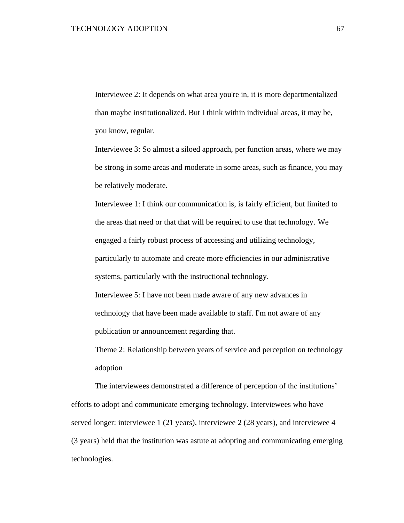Interviewee 2: It depends on what area you're in, it is more departmentalized than maybe institutionalized. But I think within individual areas, it may be, you know, regular.

Interviewee 3: So almost a siloed approach, per function areas, where we may be strong in some areas and moderate in some areas, such as finance, you may be relatively moderate.

Interviewee 1: I think our communication is, is fairly efficient, but limited to the areas that need or that that will be required to use that technology. We engaged a fairly robust process of accessing and utilizing technology, particularly to automate and create more efficiencies in our administrative systems, particularly with the instructional technology.

Interviewee 5: I have not been made aware of any new advances in technology that have been made available to staff. I'm not aware of any publication or announcement regarding that.

Theme 2: Relationship between years of service and perception on technology adoption

The interviewees demonstrated a difference of perception of the institutions' efforts to adopt and communicate emerging technology. Interviewees who have served longer: interviewee 1 (21 years), interviewee 2 (28 years), and interviewee 4 (3 years) held that the institution was astute at adopting and communicating emerging technologies.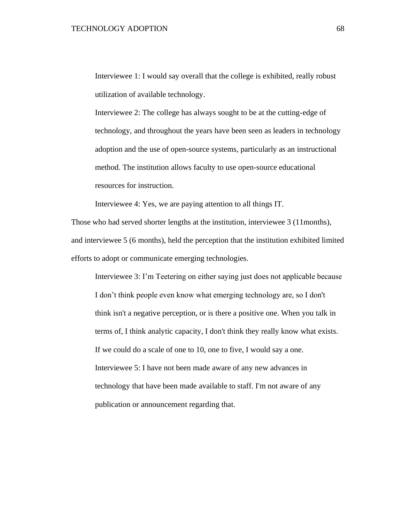Interviewee 1: I would say overall that the college is exhibited, really robust utilization of available technology.

Interviewee 2: The college has always sought to be at the cutting-edge of technology, and throughout the years have been seen as leaders in technology adoption and the use of open-source systems, particularly as an instructional method. The institution allows faculty to use open-source educational resources for instruction.

Interviewee 4: Yes, we are paying attention to all things IT.

Those who had served shorter lengths at the institution, interviewee 3 (11months), and interviewee 5 (6 months), held the perception that the institution exhibited limited efforts to adopt or communicate emerging technologies.

Interviewee 3: I'm Teetering on either saying just does not applicable because I don't think people even know what emerging technology are, so I don't think isn't a negative perception, or is there a positive one. When you talk in terms of, I think analytic capacity, I don't think they really know what exists. If we could do a scale of one to 10, one to five, I would say a one. Interviewee 5: I have not been made aware of any new advances in technology that have been made available to staff. I'm not aware of any publication or announcement regarding that.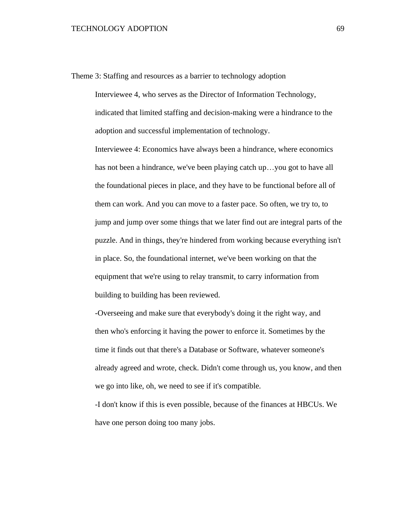Theme 3: Staffing and resources as a barrier to technology adoption

Interviewee 4, who serves as the Director of Information Technology, indicated that limited staffing and decision-making were a hindrance to the adoption and successful implementation of technology.

Interviewee 4: Economics have always been a hindrance, where economics has not been a hindrance, we've been playing catch up…you got to have all the foundational pieces in place, and they have to be functional before all of them can work. And you can move to a faster pace. So often, we try to, to jump and jump over some things that we later find out are integral parts of the puzzle. And in things, they're hindered from working because everything isn't in place. So, the foundational internet, we've been working on that the equipment that we're using to relay transmit, to carry information from building to building has been reviewed.

-Overseeing and make sure that everybody's doing it the right way, and then who's enforcing it having the power to enforce it. Sometimes by the time it finds out that there's a Database or Software, whatever someone's already agreed and wrote, check. Didn't come through us, you know, and then we go into like, oh, we need to see if it's compatible.

-I don't know if this is even possible, because of the finances at HBCUs. We have one person doing too many jobs.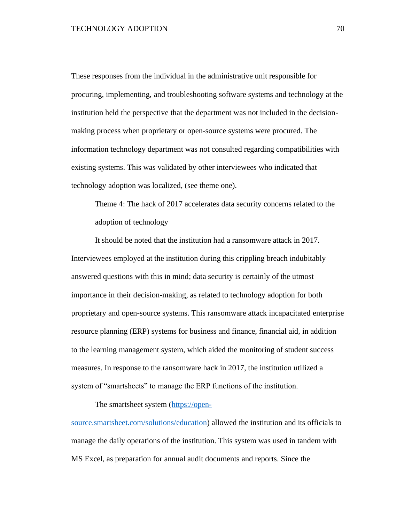These responses from the individual in the administrative unit responsible for procuring, implementing, and troubleshooting software systems and technology at the institution held the perspective that the department was not included in the decisionmaking process when proprietary or open-source systems were procured. The information technology department was not consulted regarding compatibilities with existing systems. This was validated by other interviewees who indicated that technology adoption was localized, (see theme one).

Theme 4: The hack of 2017 accelerates data security concerns related to the adoption of technology

It should be noted that the institution had a ransomware attack in 2017. Interviewees employed at the institution during this crippling breach indubitably answered questions with this in mind; data security is certainly of the utmost importance in their decision-making, as related to technology adoption for both proprietary and open-source systems. This ransomware attack incapacitated enterprise resource planning (ERP) systems for business and finance, financial aid, in addition to the learning management system, which aided the monitoring of student success measures. In response to the ransomware hack in 2017, the institution utilized a system of "smartsheets" to manage the ERP functions of the institution.

The smartsheet system [\(https://open-](https://www.smartsheet.com/solutions/education)

[source.smartsheet.com/solutions/education\)](https://www.smartsheet.com/solutions/education) allowed the institution and its officials to manage the daily operations of the institution. This system was used in tandem with MS Excel, as preparation for annual audit documents and reports. Since the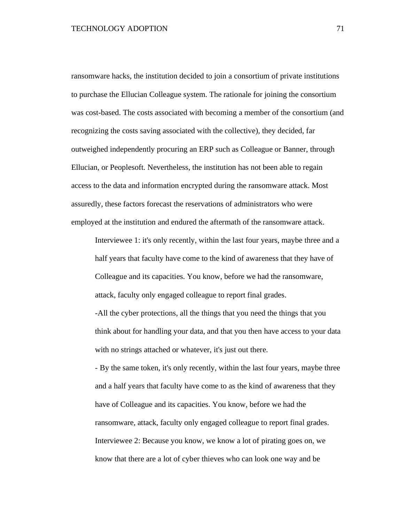ransomware hacks, the institution decided to join a consortium of private institutions to purchase the Ellucian Colleague system. The rationale for joining the consortium was cost-based. The costs associated with becoming a member of the consortium (and recognizing the costs saving associated with the collective), they decided, far outweighed independently procuring an ERP such as Colleague or Banner, through Ellucian, or Peoplesoft. Nevertheless, the institution has not been able to regain access to the data and information encrypted during the ransomware attack. Most assuredly, these factors forecast the reservations of administrators who were employed at the institution and endured the aftermath of the ransomware attack.

Interviewee 1: it's only recently, within the last four years, maybe three and a half years that faculty have come to the kind of awareness that they have of Colleague and its capacities. You know, before we had the ransomware, attack, faculty only engaged colleague to report final grades.

-All the cyber protections, all the things that you need the things that you think about for handling your data, and that you then have access to your data with no strings attached or whatever, it's just out there.

- By the same token, it's only recently, within the last four years, maybe three and a half years that faculty have come to as the kind of awareness that they have of Colleague and its capacities. You know, before we had the ransomware, attack, faculty only engaged colleague to report final grades. Interviewee 2: Because you know, we know a lot of pirating goes on, we know that there are a lot of cyber thieves who can look one way and be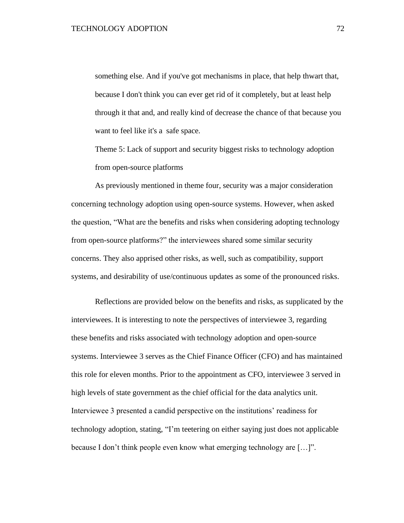something else. And if you've got mechanisms in place, that help thwart that, because I don't think you can ever get rid of it completely, but at least help through it that and, and really kind of decrease the chance of that because you want to feel like it's a safe space.

Theme 5: Lack of support and security biggest risks to technology adoption from open-source platforms

As previously mentioned in theme four, security was a major consideration concerning technology adoption using open-source systems. However, when asked the question, "What are the benefits and risks when considering adopting technology from open-source platforms?" the interviewees shared some similar security concerns. They also apprised other risks, as well, such as compatibility, support systems, and desirability of use/continuous updates as some of the pronounced risks.

Reflections are provided below on the benefits and risks, as supplicated by the interviewees. It is interesting to note the perspectives of interviewee 3, regarding these benefits and risks associated with technology adoption and open-source systems. Interviewee 3 serves as the Chief Finance Officer (CFO) and has maintained this role for eleven months. Prior to the appointment as CFO, interviewee 3 served in high levels of state government as the chief official for the data analytics unit. Interviewee 3 presented a candid perspective on the institutions' readiness for technology adoption, stating, "I'm teetering on either saying just does not applicable because I don't think people even know what emerging technology are […]".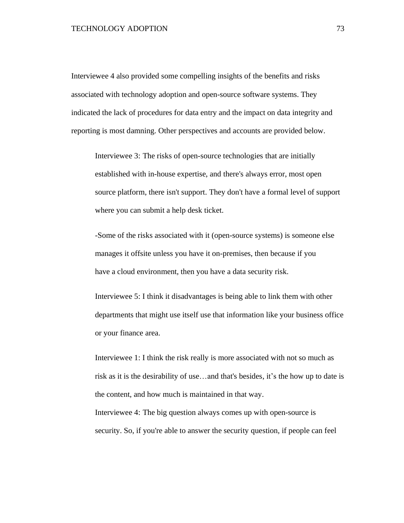### TECHNOLOGY ADOPTION 73

Interviewee 4 also provided some compelling insights of the benefits and risks associated with technology adoption and open-source software systems. They indicated the lack of procedures for data entry and the impact on data integrity and reporting is most damning. Other perspectives and accounts are provided below.

Interviewee 3: The risks of open-source technologies that are initially established with in-house expertise, and there's always error, most open source platform, there isn't support. They don't have a formal level of support where you can submit a help desk ticket.

-Some of the risks associated with it (open-source systems) is someone else manages it offsite unless you have it on-premises, then because if you have a cloud environment, then you have a data security risk.

Interviewee 5: I think it disadvantages is being able to link them with other departments that might use itself use that information like your business office or your finance area.

Interviewee 1: I think the risk really is more associated with not so much as risk as it is the desirability of use…and that's besides, it's the how up to date is the content, and how much is maintained in that way.

Interviewee 4: The big question always comes up with open-source is security. So, if you're able to answer the security question, if people can feel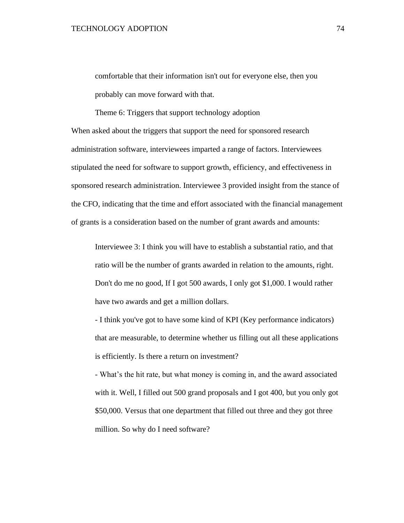comfortable that their information isn't out for everyone else, then you probably can move forward with that.

Theme 6: Triggers that support technology adoption When asked about the triggers that support the need for sponsored research administration software, interviewees imparted a range of factors. Interviewees stipulated the need for software to support growth, efficiency, and effectiveness in sponsored research administration. Interviewee 3 provided insight from the stance of the CFO, indicating that the time and effort associated with the financial management of grants is a consideration based on the number of grant awards and amounts:

Interviewee 3: I think you will have to establish a substantial ratio, and that ratio will be the number of grants awarded in relation to the amounts, right. Don't do me no good, If I got 500 awards, I only got \$1,000. I would rather have two awards and get a million dollars.

- I think you've got to have some kind of KPI (Key performance indicators) that are measurable, to determine whether us filling out all these applications is efficiently. Is there a return on investment?

- What's the hit rate, but what money is coming in, and the award associated with it. Well, I filled out 500 grand proposals and I got 400, but you only got \$50,000. Versus that one department that filled out three and they got three million. So why do I need software?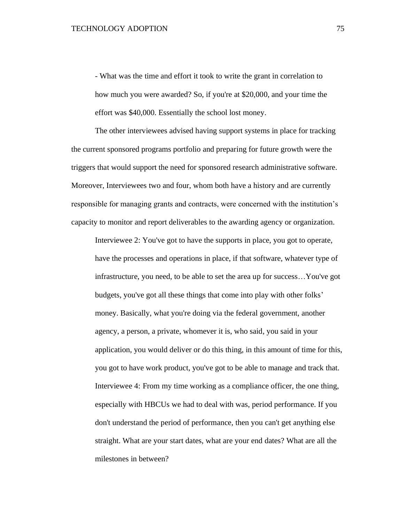- What was the time and effort it took to write the grant in correlation to how much you were awarded? So, if you're at \$20,000, and your time the effort was \$40,000. Essentially the school lost money.

The other interviewees advised having support systems in place for tracking the current sponsored programs portfolio and preparing for future growth were the triggers that would support the need for sponsored research administrative software. Moreover, Interviewees two and four, whom both have a history and are currently responsible for managing grants and contracts, were concerned with the institution's capacity to monitor and report deliverables to the awarding agency or organization.

Interviewee 2: You've got to have the supports in place, you got to operate, have the processes and operations in place, if that software, whatever type of infrastructure, you need, to be able to set the area up for success…You've got budgets, you've got all these things that come into play with other folks' money. Basically, what you're doing via the federal government, another agency, a person, a private, whomever it is, who said, you said in your application, you would deliver or do this thing, in this amount of time for this, you got to have work product, you've got to be able to manage and track that. Interviewee 4: From my time working as a compliance officer, the one thing, especially with HBCUs we had to deal with was, period performance. If you don't understand the period of performance, then you can't get anything else straight. What are your start dates, what are your end dates? What are all the milestones in between?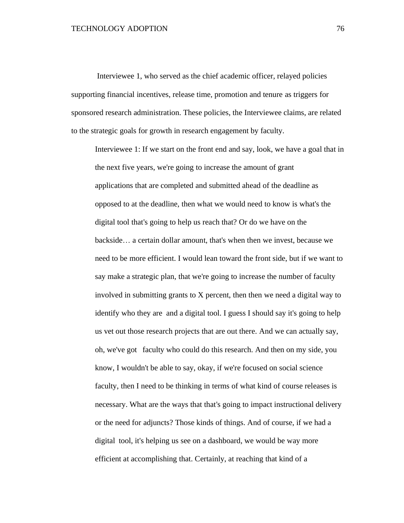Interviewee 1, who served as the chief academic officer, relayed policies supporting financial incentives, release time, promotion and tenure as triggers for sponsored research administration. These policies, the Interviewee claims, are related to the strategic goals for growth in research engagement by faculty.

Interviewee 1: If we start on the front end and say, look, we have a goal that in the next five years, we're going to increase the amount of grant applications that are completed and submitted ahead of the deadline as opposed to at the deadline, then what we would need to know is what's the digital tool that's going to help us reach that? Or do we have on the backside… a certain dollar amount, that's when then we invest, because we need to be more efficient. I would lean toward the front side, but if we want to say make a strategic plan, that we're going to increase the number of faculty involved in submitting grants to X percent, then then we need a digital way to identify who they are and a digital tool. I guess I should say it's going to help us vet out those research projects that are out there. And we can actually say, oh, we've got faculty who could do this research. And then on my side, you know, I wouldn't be able to say, okay, if we're focused on social science faculty, then I need to be thinking in terms of what kind of course releases is necessary. What are the ways that that's going to impact instructional delivery or the need for adjuncts? Those kinds of things. And of course, if we had a digital tool, it's helping us see on a dashboard, we would be way more efficient at accomplishing that. Certainly, at reaching that kind of a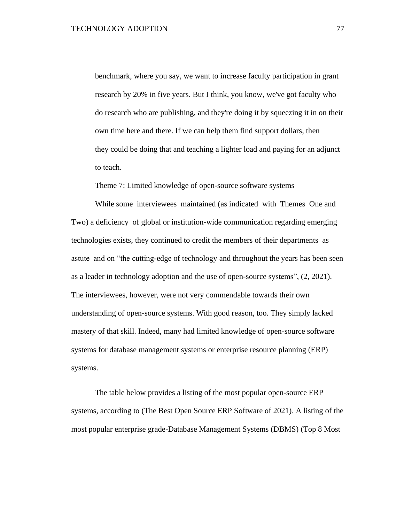benchmark, where you say, we want to increase faculty participation in grant research by 20% in five years. But I think, you know, we've got faculty who do research who are publishing, and they're doing it by squeezing it in on their own time here and there. If we can help them find support dollars, then they could be doing that and teaching a lighter load and paying for an adjunct to teach.

Theme 7: Limited knowledge of open-source software systems

While some interviewees maintained (as indicated with Themes One and Two) a deficiency of global or institution-wide communication regarding emerging technologies exists, they continued to credit the members of their departments as astute and on "the cutting-edge of technology and throughout the years has been seen as a leader in technology adoption and the use of open-source systems", (2, 2021). The interviewees, however, were not very commendable towards their own understanding of open-source systems. With good reason, too. They simply lacked mastery of that skill. Indeed, many had limited knowledge of open-source software systems for database management systems or enterprise resource planning (ERP) systems.

The table below provides a listing of the most popular open-source ERP systems, according to (The Best Open Source ERP Software of 2021). A listing of the most popular enterprise grade-Database Management Systems (DBMS) (Top 8 Most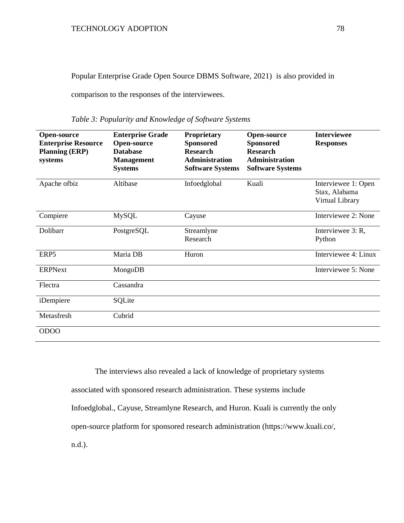Popular Enterprise Grade Open Source DBMS Software, 2021) is also provided in

comparison to the responses of the interviewees.

| <b>Open-source</b><br><b>Enterprise Resource</b><br><b>Planning (ERP)</b><br>systems | <b>Enterprise Grade</b><br><b>Open-source</b><br><b>Database</b><br><b>Management</b><br><b>Systems</b> | <b>Proprietary</b><br><b>Sponsored</b><br><b>Research</b><br><b>Administration</b><br><b>Software Systems</b> | <b>Open-source</b><br><b>Sponsored</b><br><b>Research</b><br><b>Administration</b><br><b>Software Systems</b> | <b>Interviewee</b><br><b>Responses</b>                  |
|--------------------------------------------------------------------------------------|---------------------------------------------------------------------------------------------------------|---------------------------------------------------------------------------------------------------------------|---------------------------------------------------------------------------------------------------------------|---------------------------------------------------------|
| Apache ofbiz                                                                         | Altibase                                                                                                | Infoedglobal                                                                                                  | Kuali                                                                                                         | Interviewee 1: Open<br>Stax, Alabama<br>Virtual Library |
| Compiere                                                                             | <b>MySQL</b>                                                                                            | Cayuse                                                                                                        |                                                                                                               | Interviewee 2: None                                     |
| Dolibarr                                                                             | PostgreSQL                                                                                              | Streamlyne<br>Research                                                                                        |                                                                                                               | Interviewee 3: R,<br>Python                             |
| ERP5                                                                                 | Maria DB                                                                                                | Huron                                                                                                         |                                                                                                               | Interviewee 4: Linux                                    |
| <b>ERPNext</b>                                                                       | MongoDB                                                                                                 |                                                                                                               |                                                                                                               | Interviewee 5: None                                     |
| Flectra                                                                              | Cassandra                                                                                               |                                                                                                               |                                                                                                               |                                                         |
| iDempiere                                                                            | SQLite                                                                                                  |                                                                                                               |                                                                                                               |                                                         |
| Metasfresh                                                                           | Cubrid                                                                                                  |                                                                                                               |                                                                                                               |                                                         |
| <b>ODOO</b>                                                                          |                                                                                                         |                                                                                                               |                                                                                                               |                                                         |

<span id="page-77-0"></span>*Table 3: Popularity and Knowledge of Software Systems*

The interviews also revealed a lack of knowledge of proprietary systems associated with sponsored research administration. These systems include Infoedglobal., Cayuse, Streamlyne Research, and Huron. Kuali is currently the only open-source platform for sponsored research administration (https://www.kuali.co/, n.d.).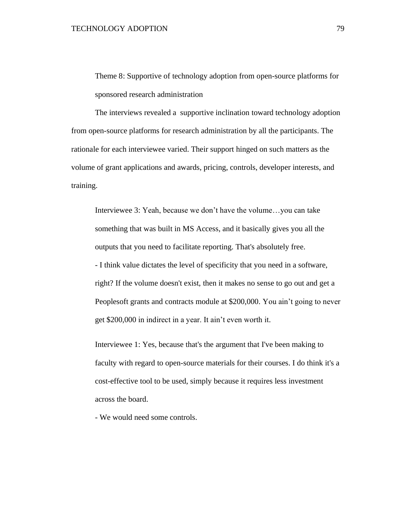Theme 8: Supportive of technology adoption from open-source platforms for sponsored research administration

The interviews revealed a supportive inclination toward technology adoption from open-source platforms for research administration by all the participants. The rationale for each interviewee varied. Their support hinged on such matters as the volume of grant applications and awards, pricing, controls, developer interests, and training.

Interviewee 3: Yeah, because we don't have the volume…you can take something that was built in MS Access, and it basically gives you all the outputs that you need to facilitate reporting. That's absolutely free. - I think value dictates the level of specificity that you need in a software, right? If the volume doesn't exist, then it makes no sense to go out and get a Peoplesoft grants and contracts module at \$200,000. You ain't going to never get \$200,000 in indirect in a year. It ain't even worth it.

Interviewee 1: Yes, because that's the argument that I've been making to faculty with regard to open-source materials for their courses. I do think it's a cost-effective tool to be used, simply because it requires less investment across the board.

- We would need some controls.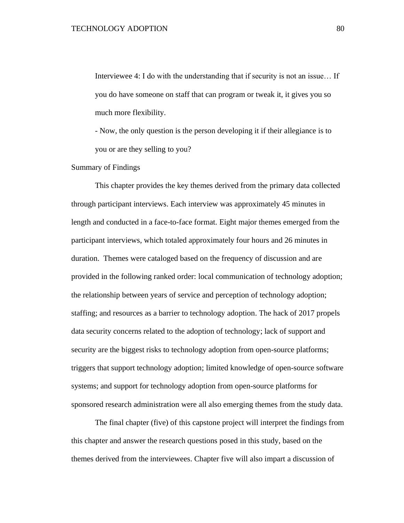Interviewee 4: I do with the understanding that if security is not an issue… If you do have someone on staff that can program or tweak it, it gives you so much more flexibility.

- Now, the only question is the person developing it if their allegiance is to you or are they selling to you?

### Summary of Findings

This chapter provides the key themes derived from the primary data collected through participant interviews. Each interview was approximately 45 minutes in length and conducted in a face-to-face format. Eight major themes emerged from the participant interviews, which totaled approximately four hours and 26 minutes in duration. Themes were cataloged based on the frequency of discussion and are provided in the following ranked order: local communication of technology adoption; the relationship between years of service and perception of technology adoption; staffing; and resources as a barrier to technology adoption. The hack of 2017 propels data security concerns related to the adoption of technology; lack of support and security are the biggest risks to technology adoption from open-source platforms; triggers that support technology adoption; limited knowledge of open-source software systems; and support for technology adoption from open-source platforms for sponsored research administration were all also emerging themes from the study data.

The final chapter (five) of this capstone project will interpret the findings from this chapter and answer the research questions posed in this study, based on the themes derived from the interviewees. Chapter five will also impart a discussion of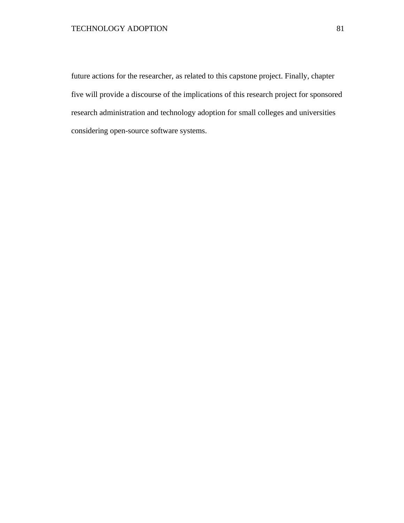future actions for the researcher, as related to this capstone project. Finally, chapter five will provide a discourse of the implications of this research project for sponsored research administration and technology adoption for small colleges and universities considering open-source software systems.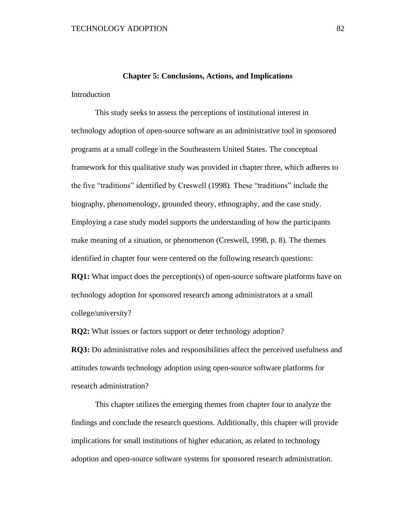## **Chapter 5: Conclusions, Actions, and Implications**

Introduction

This study seeks to assess the perceptions of institutional interest in technology adoption of open-source software as an administrative tool in sponsored programs at a small college in the Southeastern United States. The conceptual framework for this qualitative study was provided in chapter three, which adheres to the five "traditions" identified by Creswell (1998). These "traditions" include the biography, phenomenology, grounded theory, ethnography, and the case study. Employing a case study model supports the understanding of how the participants make meaning of a situation, or phenomenon (Creswell, 1998, p. 8). The themes identified in chapter four were centered on the following research questions: **RQ1:** What impact does the perception(s) of open-source software platforms have on technology adoption for sponsored research among administrators at a small college/university?

**RQ2:** What issues or factors support or deter technology adoption?

**RQ3:** Do administrative roles and responsibilities affect the perceived usefulness and attitudes towards technology adoption using open-source software platforms for research administration?

This chapter utilizes the emerging themes from chapter four to analyze the findings and conclude the research questions. Additionally, this chapter will provide implications for small institutions of higher education, as related to technology adoption and open-source software systems for sponsored research administration.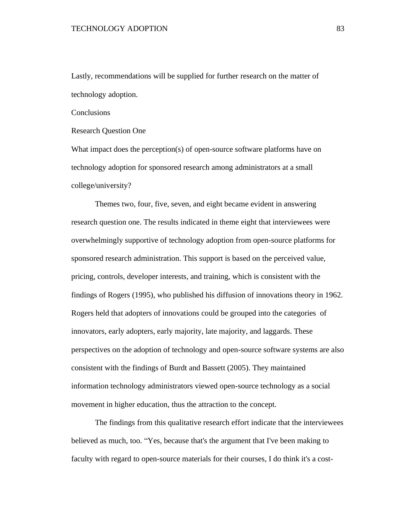Lastly, recommendations will be supplied for further research on the matter of technology adoption.

**Conclusions** 

Research Question One

What impact does the perception(s) of open-source software platforms have on technology adoption for sponsored research among administrators at a small college/university?

Themes two, four, five, seven, and eight became evident in answering research question one. The results indicated in theme eight that interviewees were overwhelmingly supportive of technology adoption from open-source platforms for sponsored research administration. This support is based on the perceived value, pricing, controls, developer interests, and training, which is consistent with the findings of Rogers (1995), who published his diffusion of innovations theory in 1962. Rogers held that adopters of innovations could be grouped into the categories of innovators, early adopters, early majority, late majority, and laggards. These perspectives on the adoption of technology and open-source software systems are also consistent with the findings of Burdt and Bassett (2005). They maintained information technology administrators viewed open-source technology as a social movement in higher education, thus the attraction to the concept.

The findings from this qualitative research effort indicate that the interviewees believed as much, too. "Yes, because that's the argument that I've been making to faculty with regard to open-source materials for their courses, I do think it's a cost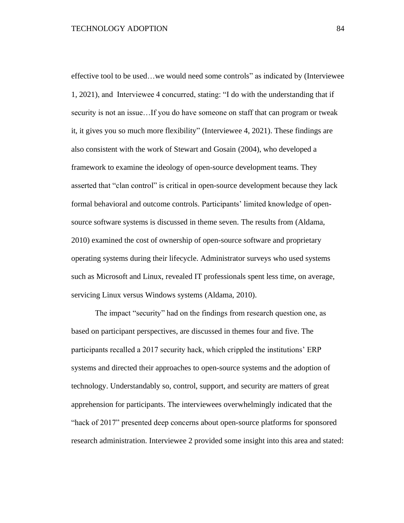effective tool to be used…we would need some controls" as indicated by (Interviewee 1, 2021), and Interviewee 4 concurred, stating: "I do with the understanding that if security is not an issue…If you do have someone on staff that can program or tweak it, it gives you so much more flexibility" (Interviewee 4, 2021). These findings are also consistent with the work of Stewart and Gosain (2004), who developed a framework to examine the ideology of open-source development teams. They asserted that "clan control" is critical in open-source development because they lack formal behavioral and outcome controls. Participants' limited knowledge of opensource software systems is discussed in theme seven. The results from (Aldama, 2010) examined the cost of ownership of open-source software and proprietary operating systems during their lifecycle. Administrator surveys who used systems such as Microsoft and Linux, revealed IT professionals spent less time, on average, servicing Linux versus Windows systems (Aldama, 2010).

The impact "security" had on the findings from research question one, as based on participant perspectives, are discussed in themes four and five. The participants recalled a 2017 security hack, which crippled the institutions' ERP systems and directed their approaches to open-source systems and the adoption of technology. Understandably so, control, support, and security are matters of great apprehension for participants. The interviewees overwhelmingly indicated that the "hack of 2017" presented deep concerns about open-source platforms for sponsored research administration. Interviewee 2 provided some insight into this area and stated: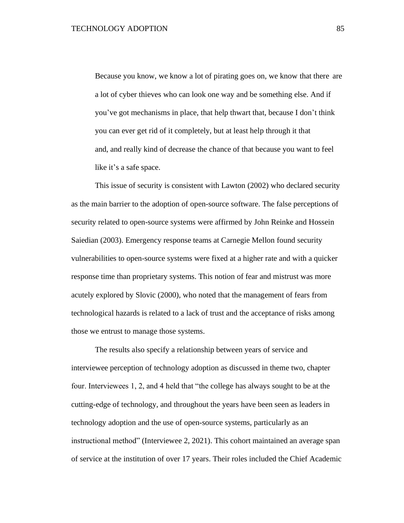Because you know, we know a lot of pirating goes on, we know that there are a lot of cyber thieves who can look one way and be something else. And if you've got mechanisms in place, that help thwart that, because I don't think you can ever get rid of it completely, but at least help through it that and, and really kind of decrease the chance of that because you want to feel like it's a safe space.

This issue of security is consistent with Lawton (2002) who declared security as the main barrier to the adoption of open-source software. The false perceptions of security related to open-source systems were affirmed by John Reinke and Hossein Saiedian (2003). Emergency response teams at Carnegie Mellon found security vulnerabilities to open-source systems were fixed at a higher rate and with a quicker response time than proprietary systems. This notion of fear and mistrust was more acutely explored by Slovic (2000), who noted that the management of fears from technological hazards is related to a lack of trust and the acceptance of risks among those we entrust to manage those systems.

The results also specify a relationship between years of service and interviewee perception of technology adoption as discussed in theme two, chapter four. Interviewees 1, 2, and 4 held that "the college has always sought to be at the cutting-edge of technology, and throughout the years have been seen as leaders in technology adoption and the use of open-source systems, particularly as an instructional method" (Interviewee 2, 2021). This cohort maintained an average span of service at the institution of over 17 years. Their roles included the Chief Academic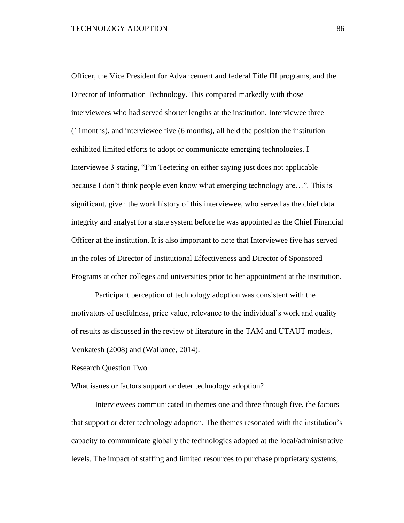Officer, the Vice President for Advancement and federal Title III programs, and the Director of Information Technology. This compared markedly with those interviewees who had served shorter lengths at the institution. Interviewee three (11months), and interviewee five (6 months), all held the position the institution exhibited limited efforts to adopt or communicate emerging technologies. I Interviewee 3 stating, "I'm Teetering on either saying just does not applicable because I don't think people even know what emerging technology are…". This is significant, given the work history of this interviewee, who served as the chief data integrity and analyst for a state system before he was appointed as the Chief Financial Officer at the institution. It is also important to note that Interviewee five has served in the roles of Director of Institutional Effectiveness and Director of Sponsored Programs at other colleges and universities prior to her appointment at the institution.

Participant perception of technology adoption was consistent with the motivators of usefulness, price value, relevance to the individual's work and quality of results as discussed in the review of literature in the TAM and UTAUT models, Venkatesh (2008) and (Wallance, 2014).

Research Question Two

What issues or factors support or deter technology adoption?

Interviewees communicated in themes one and three through five, the factors that support or deter technology adoption. The themes resonated with the institution's capacity to communicate globally the technologies adopted at the local/administrative levels. The impact of staffing and limited resources to purchase proprietary systems,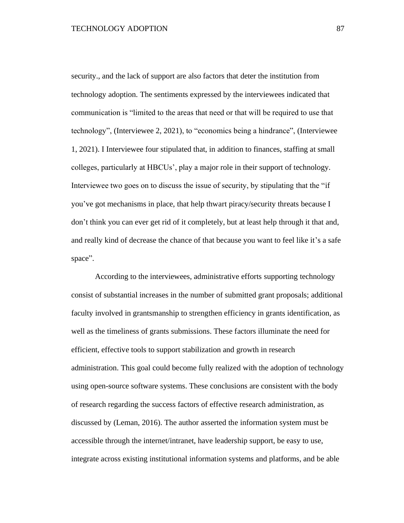security., and the lack of support are also factors that deter the institution from technology adoption. The sentiments expressed by the interviewees indicated that communication is "limited to the areas that need or that will be required to use that technology", (Interviewee 2, 2021), to "economics being a hindrance", (Interviewee 1, 2021). I Interviewee four stipulated that, in addition to finances, staffing at small colleges, particularly at HBCUs', play a major role in their support of technology. Interviewee two goes on to discuss the issue of security, by stipulating that the "if you've got mechanisms in place, that help thwart piracy/security threats because I don't think you can ever get rid of it completely, but at least help through it that and, and really kind of decrease the chance of that because you want to feel like it's a safe space".

According to the interviewees, administrative efforts supporting technology consist of substantial increases in the number of submitted grant proposals; additional faculty involved in grantsmanship to strengthen efficiency in grants identification, as well as the timeliness of grants submissions. These factors illuminate the need for efficient, effective tools to support stabilization and growth in research administration. This goal could become fully realized with the adoption of technology using open-source software systems. These conclusions are consistent with the body of research regarding the success factors of effective research administration, as discussed by (Leman, 2016). The author asserted the information system must be accessible through the internet/intranet, have leadership support, be easy to use, integrate across existing institutional information systems and platforms, and be able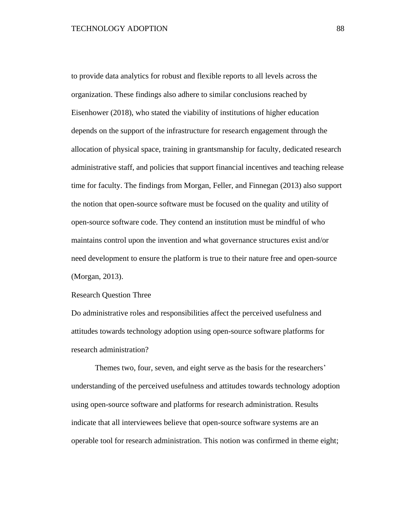to provide data analytics for robust and flexible reports to all levels across the organization. These findings also adhere to similar conclusions reached by Eisenhower (2018), who stated the viability of institutions of higher education depends on the support of the infrastructure for research engagement through the allocation of physical space, training in grantsmanship for faculty, dedicated research administrative staff, and policies that support financial incentives and teaching release time for faculty. The findings from Morgan, Feller, and Finnegan (2013) also support the notion that open-source software must be focused on the quality and utility of open-source software code. They contend an institution must be mindful of who maintains control upon the invention and what governance structures exist and/or need development to ensure the platform is true to their nature free and open-source (Morgan, 2013).

Research Question Three

Do administrative roles and responsibilities affect the perceived usefulness and attitudes towards technology adoption using open-source software platforms for research administration?

Themes two, four, seven, and eight serve as the basis for the researchers' understanding of the perceived usefulness and attitudes towards technology adoption using open-source software and platforms for research administration. Results indicate that all interviewees believe that open-source software systems are an operable tool for research administration. This notion was confirmed in theme eight;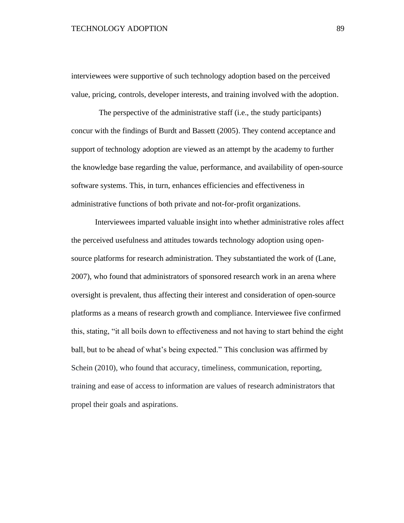### TECHNOLOGY ADOPTION 89

interviewees were supportive of such technology adoption based on the perceived value, pricing, controls, developer interests, and training involved with the adoption.

 The perspective of the administrative staff (i.e., the study participants) concur with the findings of Burdt and Bassett (2005). They contend acceptance and support of technology adoption are viewed as an attempt by the academy to further the knowledge base regarding the value, performance, and availability of open-source software systems. This, in turn, enhances efficiencies and effectiveness in administrative functions of both private and not-for-profit organizations.

Interviewees imparted valuable insight into whether administrative roles affect the perceived usefulness and attitudes towards technology adoption using opensource platforms for research administration. They substantiated the work of (Lane, 2007), who found that administrators of sponsored research work in an arena where oversight is prevalent, thus affecting their interest and consideration of open-source platforms as a means of research growth and compliance. Interviewee five confirmed this, stating, "it all boils down to effectiveness and not having to start behind the eight ball, but to be ahead of what's being expected." This conclusion was affirmed by Schein (2010), who found that accuracy, timeliness, communication, reporting, training and ease of access to information are values of research administrators that propel their goals and aspirations.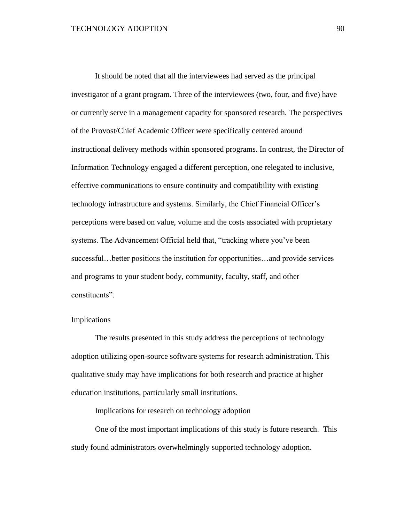It should be noted that all the interviewees had served as the principal investigator of a grant program. Three of the interviewees (two, four, and five) have or currently serve in a management capacity for sponsored research. The perspectives of the Provost/Chief Academic Officer were specifically centered around instructional delivery methods within sponsored programs. In contrast, the Director of Information Technology engaged a different perception, one relegated to inclusive, effective communications to ensure continuity and compatibility with existing technology infrastructure and systems. Similarly, the Chief Financial Officer's perceptions were based on value, volume and the costs associated with proprietary systems. The Advancement Official held that, "tracking where you've been successful…better positions the institution for opportunities…and provide services and programs to your student body, community, faculty, staff, and other constituents".

### Implications

The results presented in this study address the perceptions of technology adoption utilizing open-source software systems for research administration. This qualitative study may have implications for both research and practice at higher education institutions, particularly small institutions.

Implications for research on technology adoption

One of the most important implications of this study is future research. This study found administrators overwhelmingly supported technology adoption.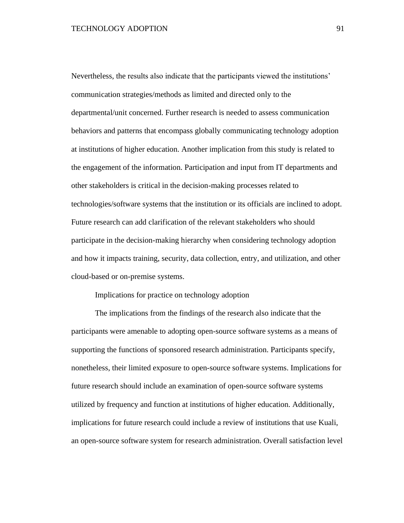Nevertheless, the results also indicate that the participants viewed the institutions' communication strategies/methods as limited and directed only to the departmental/unit concerned. Further research is needed to assess communication behaviors and patterns that encompass globally communicating technology adoption at institutions of higher education. Another implication from this study is related to the engagement of the information. Participation and input from IT departments and other stakeholders is critical in the decision-making processes related to technologies/software systems that the institution or its officials are inclined to adopt. Future research can add clarification of the relevant stakeholders who should participate in the decision-making hierarchy when considering technology adoption and how it impacts training, security, data collection, entry, and utilization, and other cloud-based or on-premise systems.

### Implications for practice on technology adoption

The implications from the findings of the research also indicate that the participants were amenable to adopting open-source software systems as a means of supporting the functions of sponsored research administration. Participants specify, nonetheless, their limited exposure to open-source software systems. Implications for future research should include an examination of open-source software systems utilized by frequency and function at institutions of higher education. Additionally, implications for future research could include a review of institutions that use Kuali, an open-source software system for research administration. Overall satisfaction level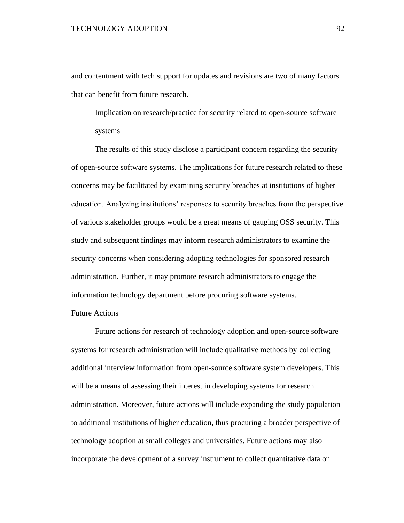and contentment with tech support for updates and revisions are two of many factors that can benefit from future research.

Implication on research/practice for security related to open-source software systems

The results of this study disclose a participant concern regarding the security of open-source software systems. The implications for future research related to these concerns may be facilitated by examining security breaches at institutions of higher education. Analyzing institutions' responses to security breaches from the perspective of various stakeholder groups would be a great means of gauging OSS security. This study and subsequent findings may inform research administrators to examine the security concerns when considering adopting technologies for sponsored research administration. Further, it may promote research administrators to engage the information technology department before procuring software systems.

## Future Actions

Future actions for research of technology adoption and open-source software systems for research administration will include qualitative methods by collecting additional interview information from open-source software system developers. This will be a means of assessing their interest in developing systems for research administration. Moreover, future actions will include expanding the study population to additional institutions of higher education, thus procuring a broader perspective of technology adoption at small colleges and universities. Future actions may also incorporate the development of a survey instrument to collect quantitative data on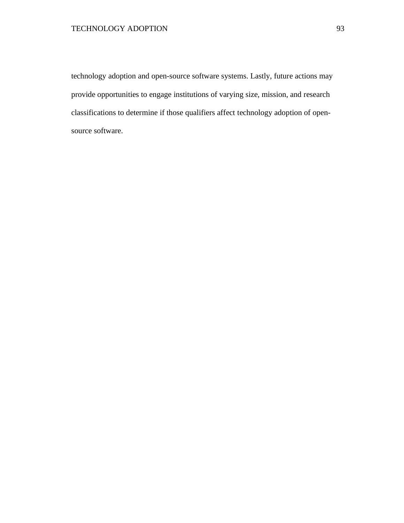## TECHNOLOGY ADOPTION 93

technology adoption and open-source software systems. Lastly, future actions may provide opportunities to engage institutions of varying size, mission, and research classifications to determine if those qualifiers affect technology adoption of opensource software.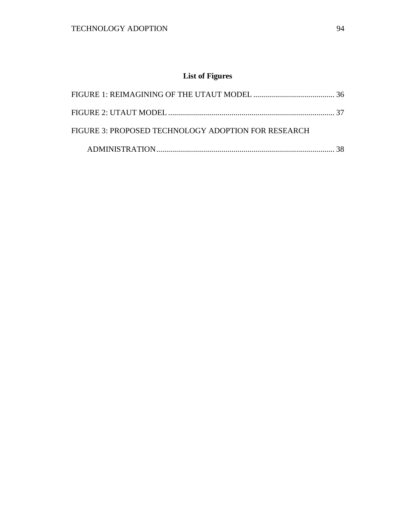# **List of Figures**

| FIGURE 3: PROPOSED TECHNOLOGY ADOPTION FOR RESEARCH |  |
|-----------------------------------------------------|--|
|                                                     |  |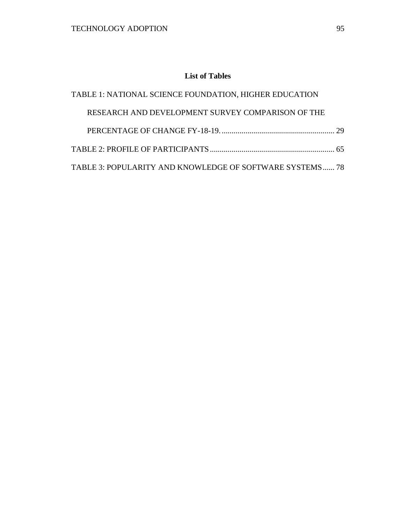## **List of Tables**

| TABLE 1: NATIONAL SCIENCE FOUNDATION, HIGHER EDUCATION   |  |
|----------------------------------------------------------|--|
| RESEARCH AND DEVELOPMENT SURVEY COMPARISON OF THE        |  |
|                                                          |  |
|                                                          |  |
| TABLE 3: POPULARITY AND KNOWLEDGE OF SOFTWARE SYSTEMS 78 |  |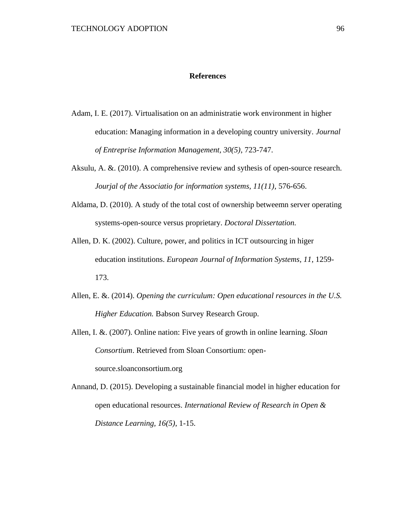### **References**

- Adam, I. E. (2017). Virtualisation on an administratie work environment in higher education: Managing information in a developing country university. *Journal of Entreprise Information Management, 30(5)*, 723-747.
- Aksulu, A. &. (2010). A comprehensive review and sythesis of open-source research. *Jourjal of the Associatio for information systems, 11(11)*, 576-656.
- Aldama, D. (2010). A study of the total cost of ownership betweemn server operating systems-open-source versus proprietary. *Doctoral Dissertation.*
- Allen, D. K. (2002). Culture, power, and politics in ICT outsourcing in higer education institutions. *European Journal of Information Systems, 11*, 1259- 173.
- Allen, E. &. (2014). *Opening the curriculum: Open educational resources in the U.S. Higher Education.* Babson Survey Research Group.
- Allen, I. &. (2007). Online nation: Five years of growth in online learning. *Sloan Consortium*. Retrieved from Sloan Consortium: opensource.sloanconsortium.org
- Annand, D. (2015). Developing a sustainable financial model in higher education for open educational resources. *International Review of Research in Open & Distance Learning, 16(5)*, 1-15.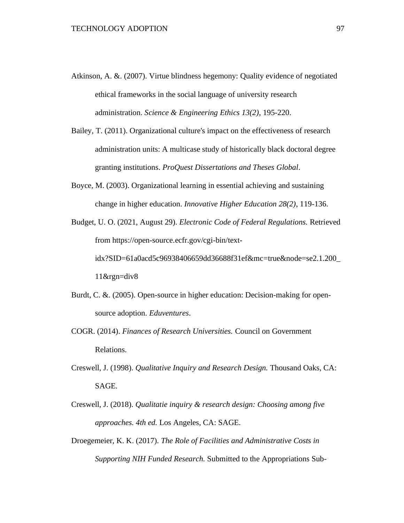- Atkinson, A. &. (2007). Virtue blindness hegemony: Quality evidence of negotiated ethical frameworks in the social language of university research administration. *Science & Engineering Ethics 13(2)*, 195-220.
- Bailey, T. (2011). Organizational culture's impact on the effectiveness of research administration units: A multicase study of historically black doctoral degree granting institutions. *ProQuest Dissertations and Theses Global*.
- Boyce, M. (2003). Organizational learning in essential achieving and sustaining change in higher education. *Innovative Higher Education 28(2)*, 119-136.
- Budget, U. O. (2021, August 29). *Electronic Code of Federal Regulations.* Retrieved from https://open-source.ecfr.gov/cgi-bin/textidx?SID=61a0acd5c96938406659dd36688f31ef&mc=true&node=se2.1.200\_ 11&rgn=div8
- Burdt, C. &. (2005). Open-source in higher education: Decision-making for opensource adoption. *Eduventures*.
- COGR. (2014). *Finances of Research Universities.* Council on Government Relations.
- Creswell, J. (1998). *Qualitative Inquiry and Research Design.* Thousand Oaks, CA: SAGE.
- Creswell, J. (2018). *Qualitatie inquiry & research design: Choosing among five approaches. 4th ed.* Los Angeles, CA: SAGE.
- Droegemeier, K. K. (2017). *The Role of Facilities and Administrative Costs in Supporting NIH Funded Research.* Submitted to the Appropriations Sub-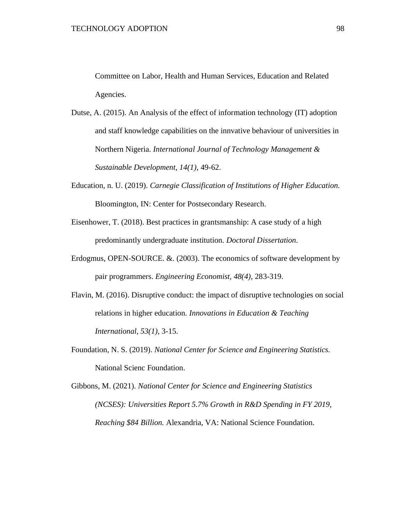Committee on Labor, Health and Human Services, Education and Related Agencies.

- Dutse, A. (2015). An Analysis of the effect of information technology (IT) adoption and staff knowledge capabilities on the innvative behaviour of universities in Northern Nigeria. *International Journal of Technology Management & Sustainable Development, 14(1)*, 49-62.
- Education, n. U. (2019). *Carnegie Classification of Institutions of Higher Education.* Bloomington, IN: Center for Postsecondary Research.
- Eisenhower, T. (2018). Best practices in grantsmanship: A case study of a high predominantly undergraduate institution. *Doctoral Dissertation*.
- Erdogmus, OPEN-SOURCE. &. (2003). The economics of software development by pair programmers. *Engineering Economist, 48(4)*, 283-319.
- Flavin, M. (2016). Disruptive conduct: the impact of disruptive technologies on social relations in higher education. *Innovations in Education & Teaching International, 53(1)*, 3-15.
- Foundation, N. S. (2019). *National Center for Science and Engineering Statistics.* National Scienc Foundation.

Gibbons, M. (2021). *National Center for Science and Engineering Statistics (NCSES): Universities Report 5.7% Growth in R&D Spending in FY 2019, Reaching \$84 Billion.* Alexandria, VA: National Science Foundation.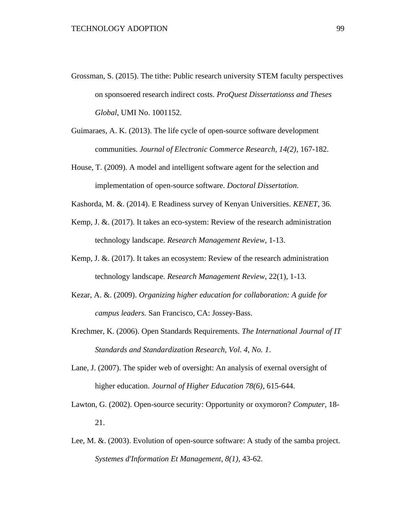- Grossman, S. (2015). The tithe: Public research university STEM faculty perspectives on sponsoered research indirect costs. *ProQuest Dissertationss and Theses Global*, UMI No. 1001152.
- Guimaraes, A. K. (2013). The life cycle of open-source software development communities. *Journal of Electronic Commerce Research, 14(2)*, 167-182.
- House, T. (2009). A model and intelligent software agent for the selection and implementation of open-source software. *Doctoral Dissertation*.
- Kashorda, M. &. (2014). E Readiness survey of Kenyan Universities. *KENET*, 36.
- Kemp, J. &. (2017). It takes an eco-system: Review of the research administration technology landscape. *Research Management Review*, 1-13.
- Kemp, J. &. (2017). It takes an ecosystem: Review of the research administration technology landscape. *Research Management Review*, 22(1), 1-13.
- Kezar, A. &. (2009). *Organizing higher education for collaboration: A guide for campus leaders.* San Francisco, CA: Jossey-Bass.
- Krechmer, K. (2006). Open Standards Requirements. *The International Journal of IT Standards and Standardization Research, Vol. 4, No. 1*.
- Lane, J. (2007). The spider web of oversight: An analysis of exernal oversight of higher education. *Journal of Higher Education 78(6)*, 615-644.
- Lawton, G. (2002). Open-source security: Opportunity or oxymoron? *Computer*, 18- 21.
- Lee, M. &. (2003). Evolution of open-source software: A study of the samba project. *Systemes d'Information Et Management, 8(1)*, 43-62.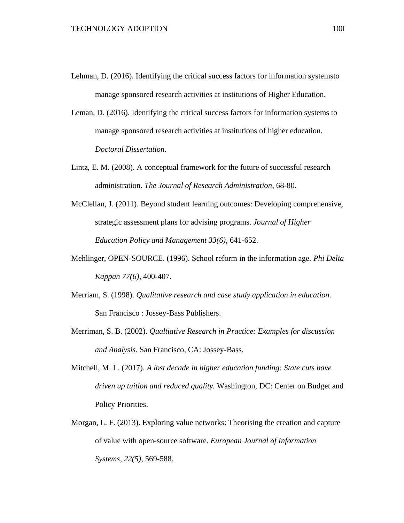- Lehman, D. (2016). Identifying the critical success factors for information systemsto manage sponsored research activities at institutions of Higher Education.
- Leman, D. (2016). Identifying the critical success factors for information systems to manage sponsored research activities at institutions of higher education. *Doctoral Dissertation*.
- Lintz, E. M. (2008). A conceptual framework for the future of successful research administration. *The Journal of Research Administration*, 68-80.
- McClellan, J. (2011). Beyond student learning outcomes: Developing comprehensive, strategic assessment plans for advising programs. *Journal of Higher Education Policy and Management 33(6)*, 641-652.
- Mehlinger, OPEN-SOURCE. (1996). School reform in the information age. *Phi Delta Kappan 77(6)*, 400-407.
- Merriam, S. (1998). *Qualitative research and case study application in education.* San Francisco : Jossey-Bass Publishers.
- Merriman, S. B. (2002). *Qualtiative Research in Practice: Examples for discussion and Analysis.* San Francisco, CA: Jossey-Bass.
- Mitchell, M. L. (2017). *A lost decade in higher education funding: State cuts have driven up tuition and reduced quality.* Washington, DC: Center on Budget and Policy Priorities.
- Morgan, L. F. (2013). Exploring value networks: Theorising the creation and capture of value with open-source software. *European Journal of Information Systems, 22(5)*, 569-588.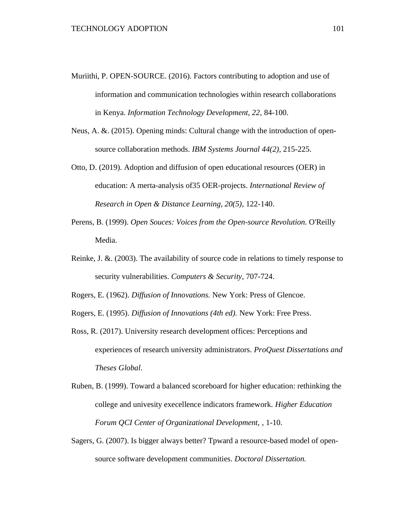- Muriithi, P. OPEN-SOURCE. (2016). Factors contributing to adoption and use of information and communication technologies within research collaborations in Kenya. *Information Technology Development, 22*, 84-100.
- Neus, A. &. (2015). Opening minds: Cultural change with the introduction of opensource collaboration methods. *IBM Systems Journal 44(2)*, 215-225.
- Otto, D. (2019). Adoption and diffusion of open educational resources (OER) in education: A merta-analysis of35 OER-projects. *International Review of Research in Open & Distance Learning, 20(5)*, 122-140.
- Perens, B. (1999). *Open Souces: Voices from the Open-source Revolution.* O'Reilly Media.
- Reinke, J. &. (2003). The availability of source code in relations to timely response to security vulnerabilities. *Computers & Security*, 707-724.

Rogers, E. (1962). *Diffusion of Innovations.* New York: Press of Glencoe.

- Rogers, E. (1995). *Diffusion of Innovations (4th ed).* New York: Free Press.
- Ross, R. (2017). University research development offices: Perceptions and experiences of research university administrators. *ProQuest Dissertations and Theses Global*.
- Ruben, B. (1999). Toward a balanced scoreboard for higher education: rethinking the college and univesity execellence indicators framework. *Higher Education Forum QCI Center of Organizational Development,* , 1-10.
- Sagers, G. (2007). Is bigger always better? Tpward a resource-based model of opensource software development communities. *Doctoral Dissertation.*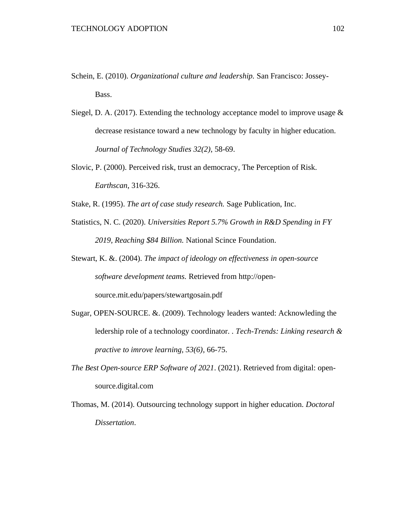- Schein, E. (2010). *Organizational culture and leadership.* San Francisco: Jossey-Bass.
- Siegel, D. A. (2017). Extending the technology acceptance model to improve usage  $\&$ decrease resistance toward a new technology by faculty in higher education. *Journal of Technology Studies 32(2)*, 58-69.
- Slovic, P. (2000). Perceived risk, trust an democracy, The Perception of Risk. *Earthscan*, 316-326.

Stake, R. (1995). *The art of case study research.* Sage Publication, Inc.

- Statistics, N. C. (2020). *Universities Report 5.7% Growth in R&D Spending in FY 2019, Reaching \$84 Billion.* National Scince Foundation.
- Stewart, K. &. (2004). *The impact of ideology on effectiveness in open-source software development teams.* Retrieved from http://opensource.mit.edu/papers/stewartgosain.pdf
- Sugar, OPEN-SOURCE. &. (2009). Technology leaders wanted: Acknowleding the ledership role of a technology coordinator. . *Tech-Trends: Linking research & practive to imrove learning, 53(6)*, 66-75.
- *The Best Open-source ERP Software of 2021*. (2021). Retrieved from digital: opensource.digital.com
- Thomas, M. (2014). Outsourcing technology support in higher education. *Doctoral Dissertation*.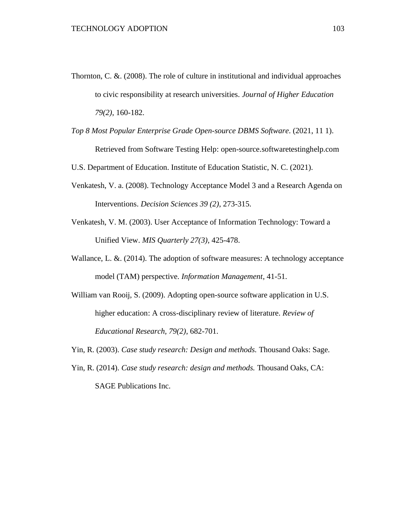- Thornton, C. &. (2008). The role of culture in institutional and individual approaches to civic responsibility at research universities. *Journal of Higher Education 79(2)*, 160-182.
- *Top 8 Most Popular Enterprise Grade Open-source DBMS Software*. (2021, 11 1). Retrieved from Software Testing Help: open-source.softwaretestinghelp.com
- U.S. Department of Education. Institute of Education Statistic, N. C. (2021).
- Venkatesh, V. a. (2008). Technology Acceptance Model 3 and a Research Agenda on Interventions. *Decision Sciences 39 (2)*, 273-315.
- Venkatesh, V. M. (2003). User Acceptance of Information Technology: Toward a Unified View. *MIS Quarterly 27(3)*, 425-478.
- Wallance, L. &. (2014). The adoption of software measures: A technology acceptance model (TAM) perspective. *Information Management*, 41-51.
- William van Rooij, S. (2009). Adopting open-source software application in U.S. higher education: A cross-disciplinary review of literature. *Review of Educational Research, 79(2)*, 682-701.
- Yin, R. (2003). *Case study research: Design and methods.* Thousand Oaks: Sage.
- Yin, R. (2014). *Case study research: design and methods.* Thousand Oaks, CA: SAGE Publications Inc.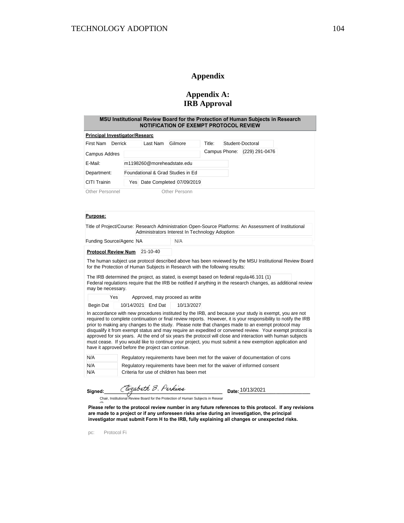### **Appendix**

### **Appendix A: IRB Approval**

| MSU Institutional Review Board for the Protection of Human Subjects in Research<br>NOTIFICATION OF EXEMPT PROTOCOL REVIEW |  |
|---------------------------------------------------------------------------------------------------------------------------|--|
|                                                                                                                           |  |

| <b>Principal Investigator/Researc</b> |         |                                   |               |               |                  |
|---------------------------------------|---------|-----------------------------------|---------------|---------------|------------------|
| First Nam                             | Derrick | Last Nam                          | Gilmore       | Title:        | Student-Doctoral |
| Campus Addres                         |         |                                   |               | Campus Phone: | (229) 291-0476   |
| E-Mail:                               |         | m1198260@moreheadstate.edu        |               |               |                  |
| Department:                           |         | Foundational & Grad Studies in Ed |               |               |                  |
| CITI Trainin                          |         | Yes Date Completed 07/09/2019     |               |               |                  |
| <b>Other Personnel</b>                |         |                                   | Other Personn |               |                  |

#### **Purpose:**

|                            | Title of Project/Course: Research Administration Open-Source Platforms: An Assessment of Institutional<br>Administrators Interest In Technology Adoption |
|----------------------------|----------------------------------------------------------------------------------------------------------------------------------------------------------|
| Funding Source/Agenc NA    | N/A                                                                                                                                                      |
| <b>Protocol Review Num</b> | 21-10-40                                                                                                                                                 |
|                            |                                                                                                                                                          |

The human subject use protocol described above has been reviewed by the MSU Institutional Review Board for the Protection of Human Subjects in Research with the following results:

The IRB determined the project, as stated, is exempt based on federal regula 46.101 (1) Federal regulations require that the IRB be notified if anything in the research changes, as additional review may be necessary.

| Yesl | Approved, may proceed as writte |
|------|---------------------------------|
|      | 1.01101000000<br>1.0111100001   |

Begin Dat | 10/14/2021 End Dat | 10/13/2027

In accordance with new procedures instituted by the IRB, and because your study is exempt, you are not required to complete continuation or final review reports. However, it is your responsibility to notify the IRB prior to making any changes to the study. Please note that changes made to an exempt protocol may disqualify it from exempt status and may require an expedited or convened review. Your exempt protocol is approved for six years. At the end of six years the protocol will close and interaction with human subjects must cease. If you would like to continue your project, you must submit a new exemption application and have it approved before the project can continue.

| N/A | Regulatory requirements have been met for the waiver of documentation of cons |
|-----|-------------------------------------------------------------------------------|
| N/A | Regulatory requirements have been met for the waiver of informed consent      |
| N/A | Criteria for use of children has been met                                     |

**Signed:\_\_\_\_\_\_\_\_\_\_\_\_\_\_\_\_\_\_\_\_\_\_\_\_\_\_\_\_\_\_\_\_\_\_\_\_\_\_\_\_\_\_\_\_\_ Date:\_\_\_\_\_\_\_\_\_\_\_\_\_\_\_\_\_\_\_\_\_\_\_\_\_\_\_**

Date: 10/13/2021

Chair, Institutional Review Board for the Protection of Human Subjects in Resear

**Please refer to the protocol review number in any future references to this protocol. If any revisions are made to a project or if any unforeseen risks arise during an investigation, the principal investigator must submit Form H to the IRB, fully explaining all changes or unexpected risks.**

pc: Protocol Fi

ch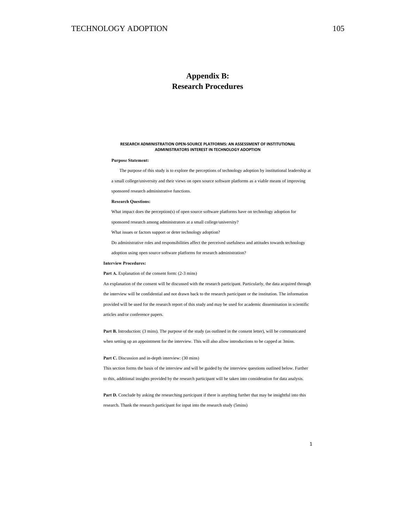#### **RESEARCH ADMINISTRATION OPEN-SOURCE PLATFORMS: AN ASSESSMENT OF INSTITUTIONAL ADMINISTRATORS INTEREST IN TECHNOLOGY ADOPTION**

#### **Purpose Statement:**

The purpose of this study is to explore the perceptions of technology adoption by institutional leadership at

a small college/university and their views on open source software platforms as a viable means of improving

sponsored research administrative functions.

#### **Research Questions:**

What impact does the perception(s) of open source software platforms have on technology adoption for

sponsored research among administrators at a small college/university?

What issues or factors support or deter technology adoption?

Do administrative roles and responsibilities affect the perceived usefulness and attitudes towards technology

adoption using open source software platforms for research administration?

#### **Interview Procedures:**

Part A. Explanation of the consent form:  $(2-3$  mins)

An explanation of the consent will be discussed with the research participant. Particularly, the data acquired through the interview will be confidential and not drawn back to the research participant or the institution. The information provided will be used for the research report of this study and may be used for academic dissemination in scientific articles and/or conference papers.

**Part B.** Introduction: (3 mins). The purpose of the study (as outlined in the consent letter), will be communicated when setting up an appointment for the interview. This will also allow introductions to be capped at 3mins.

#### Part C. Discussion and in-depth interview: (30 mins)

This section forms the basis of the interview and will be guided by the interview questions outlined below. Further to this, additional insights provided by the research participant will be taken into consideration for data analysis.

Part D. Conclude by asking the researching participant if there is anything further that may be insightful into this research. Thank the research participant for input into the research study (5mins)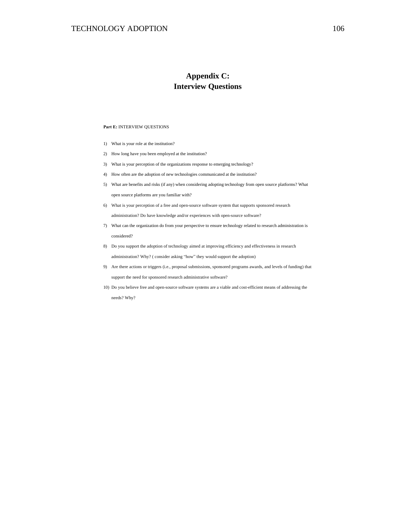## **Appendix C: Interview Questions**

#### **Part E:** INTERVIEW QUESTIONS

- 1) What is your role at the institution?
- 2) How long have you been employed at the institution?
- 3) What is your perception of the organizations response to emerging technology?
- 4) How often are the adoption of new technologies communicated at the institution?
- 5) What are benefits and risks (if any) when considering adopting technology from open source platforms? What open source platforms are you familiar with?
- 6) What is your perception of a free and open-source software system that supports sponsored research administration? Do have knowledge and/or experiences with open-source software?
- 7) What can the organization do from your perspective to ensure technology related to research administration is considered?
- 8) Do you support the adoption of technology aimed at improving efficiency and effectiveness in research administration? Why? ( consider asking "how" they would support the adoption)
- 9) Are there actions or triggers (i.e., proposal submissions, sponsored programs awards, and levels of funding) that support the need for sponsored research administrative software?
- 10) Do you believe free and open-source software systems are a viable and cost-efficient means of addressing the needs? Why?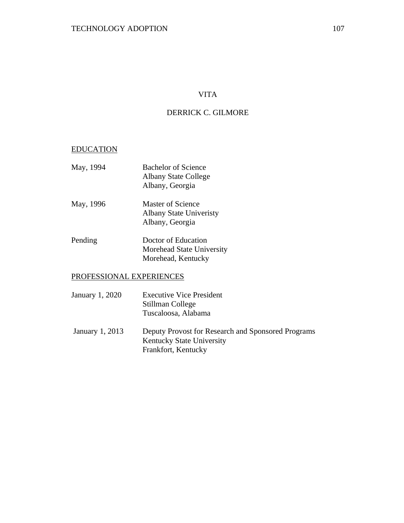## VITA

## DERRICK C. GILMORE

## EDUCATION

| May, 1994 | <b>Bachelor of Science</b><br><b>Albany State College</b><br>Albany, Georgia |
|-----------|------------------------------------------------------------------------------|
| May, 1996 | Master of Science<br>Albany State Univeristy<br>Albany, Georgia              |
| Pending   | Doctor of Education<br>Morehead State University<br>Morehead, Kentucky       |

## PROFESSIONAL EXPERIENCES

| January 1, 2020 | <b>Executive Vice President</b><br>Stillman College<br>Tuscaloosa, Alabama                                    |
|-----------------|---------------------------------------------------------------------------------------------------------------|
| January 1, 2013 | Deputy Provost for Research and Sponsored Programs<br><b>Kentucky State University</b><br>Frankfort, Kentucky |